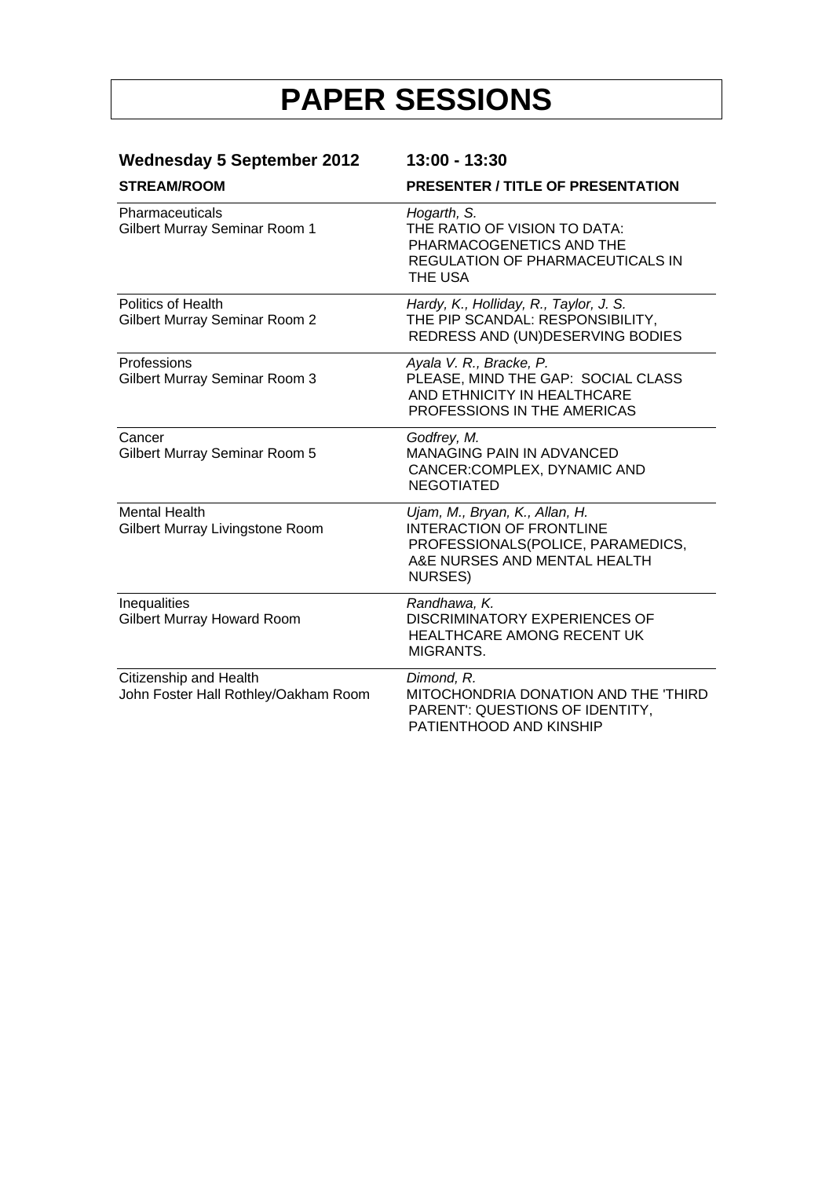| <b>Wednesday 5 September 2012</b><br><b>STREAM/ROOM</b>        | 13:00 - 13:30                                                                                                                                     |  |
|----------------------------------------------------------------|---------------------------------------------------------------------------------------------------------------------------------------------------|--|
|                                                                | <b>PRESENTER / TITLE OF PRESENTATION</b>                                                                                                          |  |
| Pharmaceuticals<br>Gilbert Murray Seminar Room 1               | Hogarth, S.<br>THE RATIO OF VISION TO DATA:<br>PHARMACOGENETICS AND THE<br><b>REGULATION OF PHARMACEUTICALS IN</b><br>THE USA                     |  |
| <b>Politics of Health</b><br>Gilbert Murray Seminar Room 2     | Hardy, K., Holliday, R., Taylor, J. S.<br>THE PIP SCANDAL: RESPONSIBILITY,<br>REDRESS AND (UN)DESERVING BODIES                                    |  |
| Professions<br>Gilbert Murray Seminar Room 3                   | Ayala V. R., Bracke, P.<br>PLEASE, MIND THE GAP: SOCIAL CLASS<br>AND ETHNICITY IN HEALTHCARE<br>PROFESSIONS IN THE AMERICAS                       |  |
| Cancer<br>Gilbert Murray Seminar Room 5                        | Godfrey, M.<br><b>MANAGING PAIN IN ADVANCED</b><br>CANCER:COMPLEX, DYNAMIC AND<br><b>NEGOTIATED</b>                                               |  |
| <b>Mental Health</b><br>Gilbert Murray Livingstone Room        | Ujam, M., Bryan, K., Allan, H.<br><b>INTERACTION OF FRONTLINE</b><br>PROFESSIONALS(POLICE, PARAMEDICS,<br>A&E NURSES AND MENTAL HEALTH<br>NURSES) |  |
| Inequalities<br>Gilbert Murray Howard Room                     | Randhawa, K.<br><b>DISCRIMINATORY EXPERIENCES OF</b><br>HEALTHCARE AMONG RECENT UK<br>MIGRANTS.                                                   |  |
| Citizenship and Health<br>John Foster Hall Rothley/Oakham Room | Dimond, R.<br>MITOCHONDRIA DONATION AND THE 'THIRD<br>PARENT': QUESTIONS OF IDENTITY,<br>PATIENTHOOD AND KINSHIP                                  |  |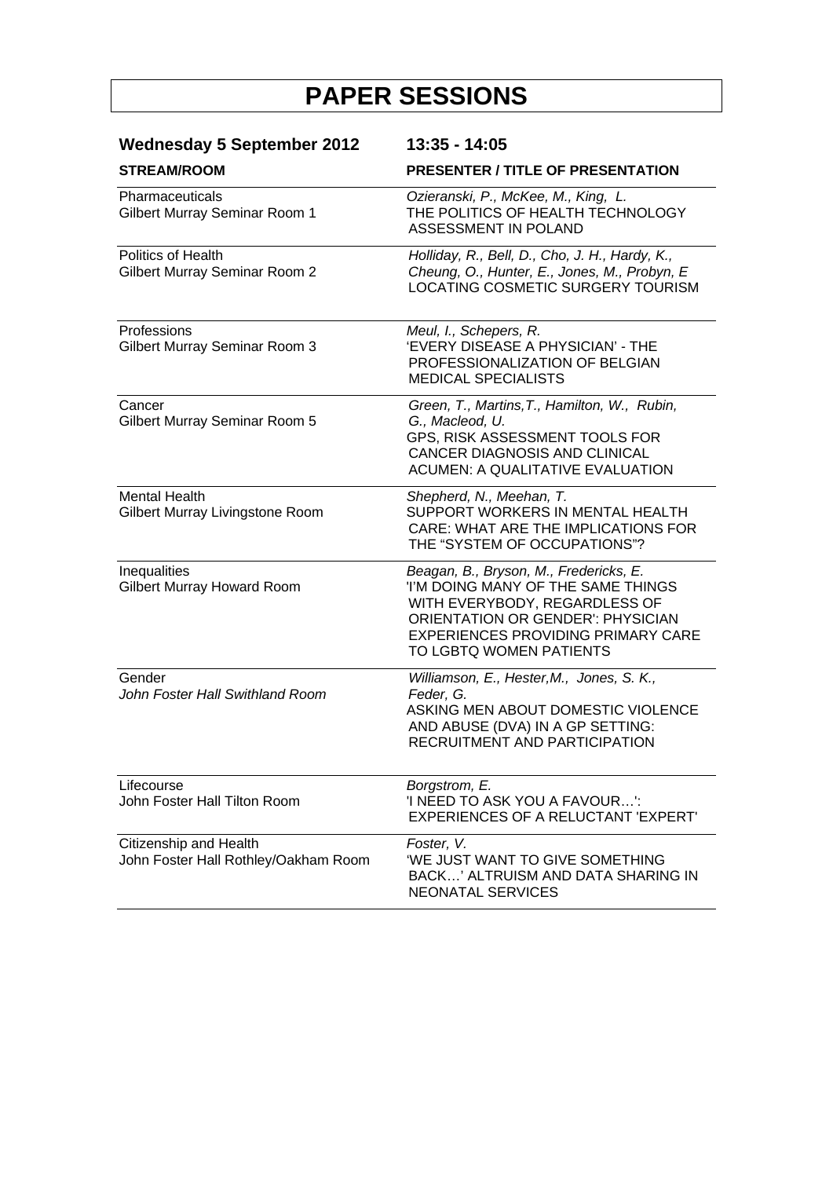| <b>Wednesday 5 September 2012</b>                              | 13:35 - 14:05                                                                                                                                                                                                                    |
|----------------------------------------------------------------|----------------------------------------------------------------------------------------------------------------------------------------------------------------------------------------------------------------------------------|
| <b>STREAM/ROOM</b>                                             | <b>PRESENTER / TITLE OF PRESENTATION</b>                                                                                                                                                                                         |
| Pharmaceuticals<br>Gilbert Murray Seminar Room 1               | Ozieranski, P., McKee, M., King, L.<br>THE POLITICS OF HEALTH TECHNOLOGY<br>ASSESSMENT IN POLAND                                                                                                                                 |
| <b>Politics of Health</b><br>Gilbert Murray Seminar Room 2     | Holliday, R., Bell, D., Cho, J. H., Hardy, K.,<br>Cheung, O., Hunter, E., Jones, M., Probyn, E<br>LOCATING COSMETIC SURGERY TOURISM                                                                                              |
| Professions<br>Gilbert Murray Seminar Room 3                   | Meul, I., Schepers, R.<br>'EVERY DISEASE A PHYSICIAN' - THE<br>PROFESSIONALIZATION OF BELGIAN<br><b>MEDICAL SPECIALISTS</b>                                                                                                      |
| Cancer<br>Gilbert Murray Seminar Room 5                        | Green, T., Martins, T., Hamilton, W., Rubin,<br>G., Macleod, U.<br>GPS, RISK ASSESSMENT TOOLS FOR<br>CANCER DIAGNOSIS AND CLINICAL<br><b>ACUMEN: A QUALITATIVE EVALUATION</b>                                                    |
| <b>Mental Health</b><br>Gilbert Murray Livingstone Room        | Shepherd, N., Meehan, T.<br>SUPPORT WORKERS IN MENTAL HEALTH<br>CARE: WHAT ARE THE IMPLICATIONS FOR<br>THE "SYSTEM OF OCCUPATIONS"?                                                                                              |
| Inequalities<br>Gilbert Murray Howard Room                     | Beagan, B., Bryson, M., Fredericks, E.<br>I'M DOING MANY OF THE SAME THINGS<br>WITH EVERYBODY, REGARDLESS OF<br><b>ORIENTATION OR GENDER': PHYSICIAN</b><br><b>EXPERIENCES PROVIDING PRIMARY CARE</b><br>TO LGBTQ WOMEN PATIENTS |
| Gender<br>John Foster Hall Swithland Room                      | Williamson, E., Hester, M., Jones, S. K.,<br>Feder, G.<br>ASKING MEN ABOUT DOMESTIC VIOLENCE<br>AND ABUSE (DVA) IN A GP SETTING:<br>RECRUITMENT AND PARTICIPATION                                                                |
| Lifecourse<br>John Foster Hall Tilton Room                     | Borgstrom, E.<br>'I NEED TO ASK YOU A FAVOUR':<br>EXPERIENCES OF A RELUCTANT 'EXPERT'                                                                                                                                            |
| Citizenship and Health<br>John Foster Hall Rothley/Oakham Room | Foster, V.<br>'WE JUST WANT TO GIVE SOMETHING<br>BACK' ALTRUISM AND DATA SHARING IN<br>NEONATAL SERVICES                                                                                                                         |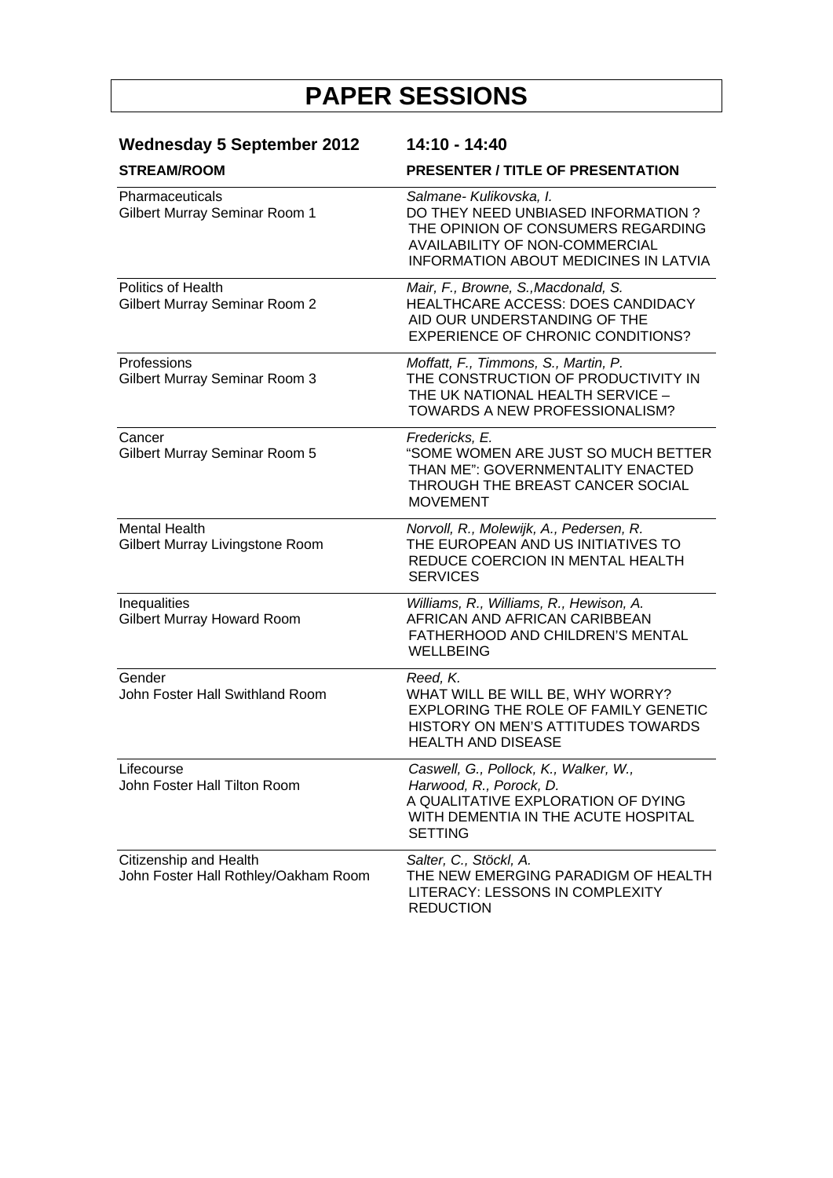| <b>Wednesday 5 September 2012</b><br><b>STREAM/ROOM</b>        | 14:10 - 14:40<br><b>PRESENTER / TITLE OF PRESENTATION</b>                                                                                                       |
|----------------------------------------------------------------|-----------------------------------------------------------------------------------------------------------------------------------------------------------------|
|                                                                |                                                                                                                                                                 |
| <b>Politics of Health</b><br>Gilbert Murray Seminar Room 2     | Mair, F., Browne, S., Macdonald, S.<br>HEALTHCARE ACCESS: DOES CANDIDACY<br>AID OUR UNDERSTANDING OF THE<br><b>EXPERIENCE OF CHRONIC CONDITIONS?</b>            |
| Professions<br>Gilbert Murray Seminar Room 3                   | Moffatt, F., Timmons, S., Martin, P.<br>THE CONSTRUCTION OF PRODUCTIVITY IN<br>THE UK NATIONAL HEALTH SERVICE -<br>TOWARDS A NEW PROFESSIONALISM?               |
| Cancer<br>Gilbert Murray Seminar Room 5                        | Fredericks, E.<br>"SOME WOMEN ARE JUST SO MUCH BETTER<br>THAN ME": GOVERNMENTALITY ENACTED<br>THROUGH THE BREAST CANCER SOCIAL<br><b>MOVEMENT</b>               |
| <b>Mental Health</b><br>Gilbert Murray Livingstone Room        | Norvoll, R., Molewijk, A., Pedersen, R.<br>THE EUROPEAN AND US INITIATIVES TO<br>REDUCE COERCION IN MENTAL HEALTH<br><b>SERVICES</b>                            |
| Inequalities<br>Gilbert Murray Howard Room                     | Williams, R., Williams, R., Hewison, A.<br>AFRICAN AND AFRICAN CARIBBEAN<br>FATHERHOOD AND CHILDREN'S MENTAL<br><b>WELLBEING</b>                                |
| Gender<br>John Foster Hall Swithland Room                      | Reed, K.<br>WHAT WILL BE WILL BE, WHY WORRY?<br><b>EXPLORING THE ROLE OF FAMILY GENETIC</b><br>HISTORY ON MEN'S ATTITUDES TOWARDS<br><b>HEALTH AND DISEASE</b>  |
| Lifecourse<br>John Foster Hall Tilton Room                     | Caswell, G., Pollock, K., Walker, W.,<br>Harwood, R., Porock, D.<br>A QUALITATIVE EXPLORATION OF DYING<br>WITH DEMENTIA IN THE ACUTE HOSPITAL<br><b>SETTING</b> |
| Citizenship and Health<br>John Foster Hall Rothley/Oakham Room | Salter, C., Stöckl, A.<br>THE NEW EMERGING PARADIGM OF HEALTH<br>LITERACY: LESSONS IN COMPLEXITY<br><b>REDUCTION</b>                                            |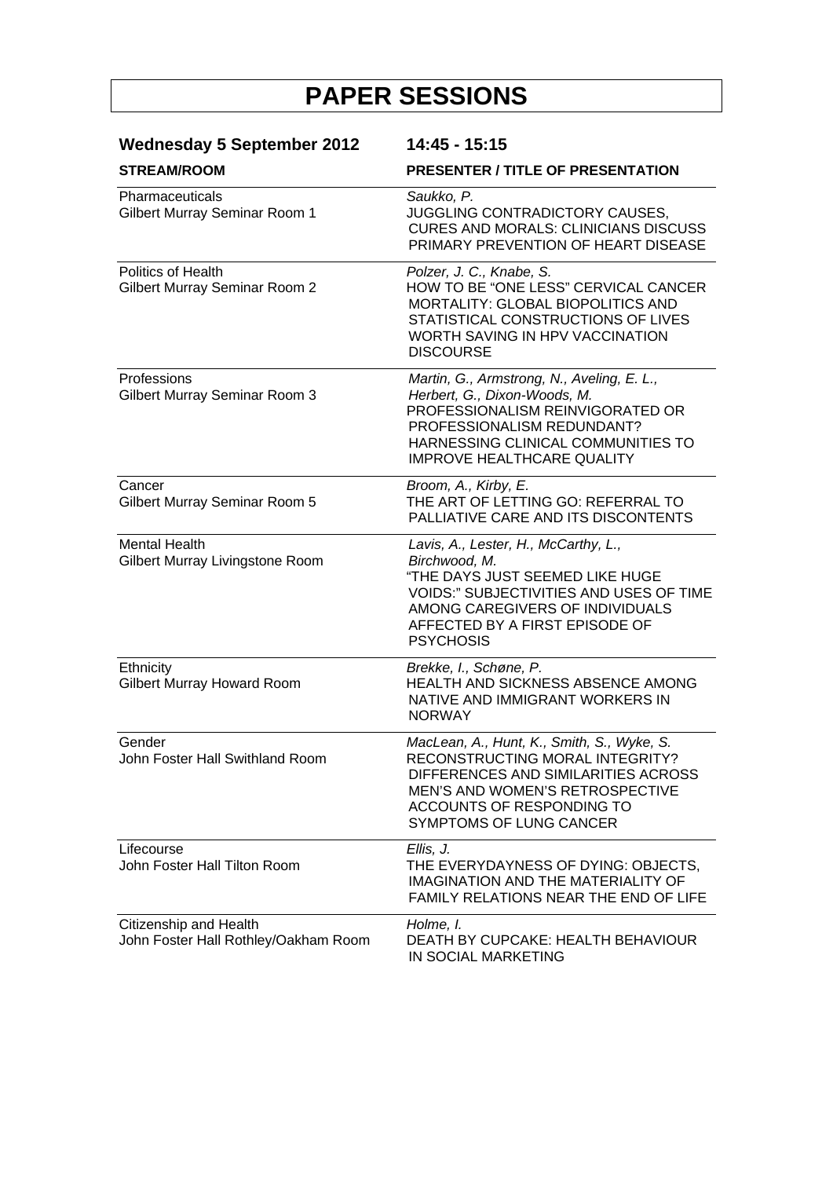| <b>Wednesday 5 September 2012</b><br><b>STREAM/ROOM</b>        | 14:45 - 15:15<br><b>PRESENTER / TITLE OF PRESENTATION</b>                                                                                                                                                                           |
|----------------------------------------------------------------|-------------------------------------------------------------------------------------------------------------------------------------------------------------------------------------------------------------------------------------|
|                                                                |                                                                                                                                                                                                                                     |
| <b>Politics of Health</b><br>Gilbert Murray Seminar Room 2     | Polzer, J. C., Knabe, S.<br>HOW TO BE "ONE LESS" CERVICAL CANCER<br>MORTALITY: GLOBAL BIOPOLITICS AND<br>STATISTICAL CONSTRUCTIONS OF LIVES<br>WORTH SAVING IN HPV VACCINATION<br><b>DISCOURSE</b>                                  |
| Professions<br>Gilbert Murray Seminar Room 3                   | Martin, G., Armstrong, N., Aveling, E. L.,<br>Herbert, G., Dixon-Woods, M.<br>PROFESSIONALISM REINVIGORATED OR<br>PROFESSIONALISM REDUNDANT?<br>HARNESSING CLINICAL COMMUNITIES TO<br><b>IMPROVE HEALTHCARE QUALITY</b>             |
| Cancer<br>Gilbert Murray Seminar Room 5                        | Broom, A., Kirby, E.<br>THE ART OF LETTING GO: REFERRAL TO<br>PALLIATIVE CARE AND ITS DISCONTENTS                                                                                                                                   |
| <b>Mental Health</b><br>Gilbert Murray Livingstone Room        | Lavis, A., Lester, H., McCarthy, L.,<br>Birchwood, M.<br>"THE DAYS JUST SEEMED LIKE HUGE<br><b>VOIDS:" SUBJECTIVITIES AND USES OF TIME</b><br>AMONG CAREGIVERS OF INDIVIDUALS<br>AFFECTED BY A FIRST EPISODE OF<br><b>PSYCHOSIS</b> |
| Ethnicity<br>Gilbert Murray Howard Room                        | Brekke, I., Schøne, P.<br>HEALTH AND SICKNESS ABSENCE AMONG<br>NATIVE AND IMMIGRANT WORKERS IN<br><b>NORWAY</b>                                                                                                                     |
| Gender<br>John Foster Hall Swithland Room                      | MacLean, A., Hunt, K., Smith, S., Wyke, S.<br>RECONSTRUCTING MORAL INTEGRITY?<br>DIFFERENCES AND SIMILARITIES ACROSS<br>MEN'S AND WOMEN'S RETROSPECTIVE<br>ACCOUNTS OF RESPONDING TO<br>SYMPTOMS OF LUNG CANCER                     |
| Lifecourse<br>John Foster Hall Tilton Room                     | Ellis, J.<br>THE EVERYDAYNESS OF DYING: OBJECTS,<br><b>IMAGINATION AND THE MATERIALITY OF</b><br>FAMILY RELATIONS NEAR THE END OF LIFE                                                                                              |
| Citizenship and Health<br>John Foster Hall Rothley/Oakham Room | Holme, I.<br>DEATH BY CUPCAKE: HEALTH BEHAVIOUR<br>IN SOCIAL MARKETING                                                                                                                                                              |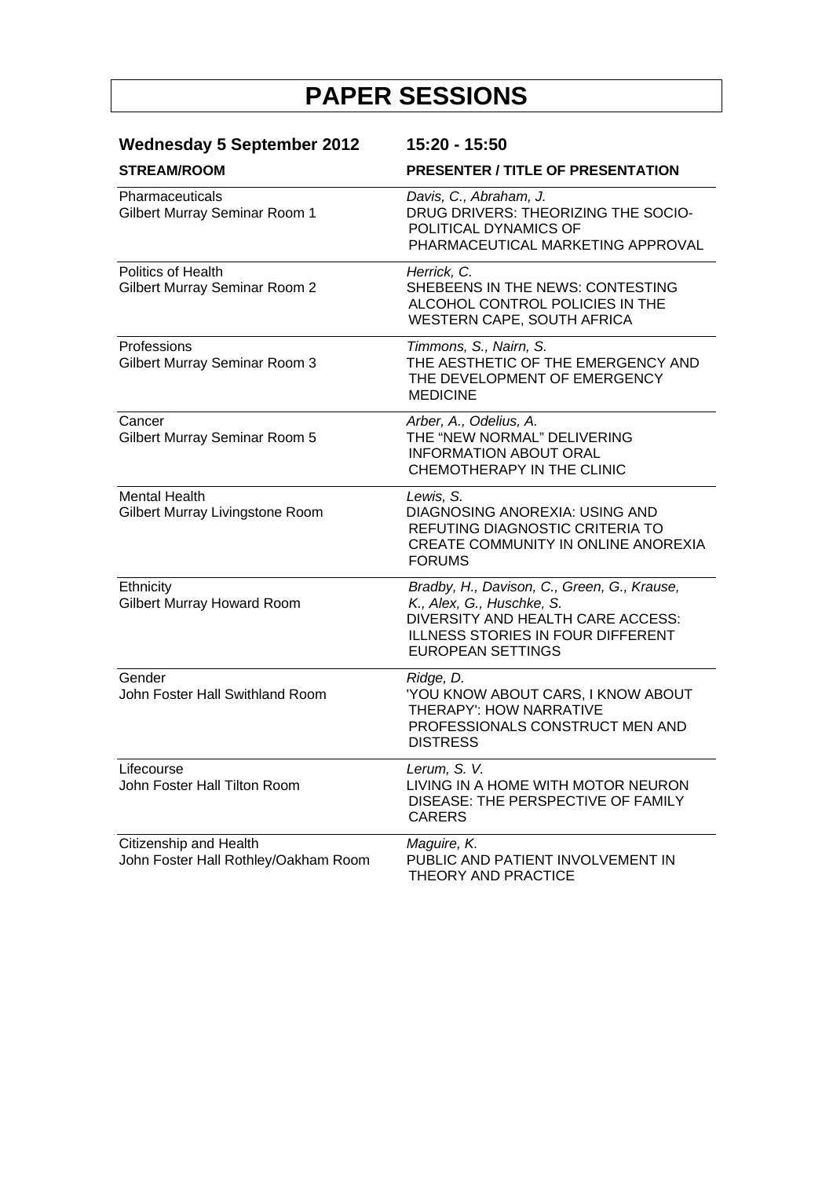| <b>Wednesday 5 September 2012</b><br><b>STREAM/ROOM</b>        | 15:20 - 15:50<br><b>PRESENTER / TITLE OF PRESENTATION</b>                                                                                                                             |
|----------------------------------------------------------------|---------------------------------------------------------------------------------------------------------------------------------------------------------------------------------------|
|                                                                |                                                                                                                                                                                       |
| Politics of Health<br>Gilbert Murray Seminar Room 2            | Herrick, C.<br>SHEBEENS IN THE NEWS: CONTESTING<br>ALCOHOL CONTROL POLICIES IN THE<br>WESTERN CAPE, SOUTH AFRICA                                                                      |
| Professions<br>Gilbert Murray Seminar Room 3                   | Timmons, S., Nairn, S.<br>THE AESTHETIC OF THE EMERGENCY AND<br>THE DEVELOPMENT OF EMERGENCY<br><b>MEDICINE</b>                                                                       |
| Cancer<br>Gilbert Murray Seminar Room 5                        | Arber, A., Odelius, A.<br>THE "NEW NORMAL" DELIVERING<br><b>INFORMATION ABOUT ORAL</b><br>CHEMOTHERAPY IN THE CLINIC                                                                  |
| <b>Mental Health</b><br>Gilbert Murray Livingstone Room        | Lewis, S.<br>DIAGNOSING ANOREXIA: USING AND<br>REFUTING DIAGNOSTIC CRITERIA TO<br><b>CREATE COMMUNITY IN ONLINE ANOREXIA</b><br><b>FORUMS</b>                                         |
| Ethnicity<br><b>Gilbert Murray Howard Room</b>                 | Bradby, H., Davison, C., Green, G., Krause,<br>K., Alex, G., Huschke, S.<br>DIVERSITY AND HEALTH CARE ACCESS:<br><b>ILLNESS STORIES IN FOUR DIFFERENT</b><br><b>EUROPEAN SETTINGS</b> |
| Gender<br>John Foster Hall Swithland Room                      | Ridge, D.<br>'YOU KNOW ABOUT CARS, I KNOW ABOUT<br>THERAPY': HOW NARRATIVE<br>PROFESSIONALS CONSTRUCT MEN AND<br><b>DISTRESS</b>                                                      |
| Lifecourse<br>John Foster Hall Tilton Room                     | Lerum, S. V.<br>LIVING IN A HOME WITH MOTOR NEURON<br>DISEASE: THE PERSPECTIVE OF FAMILY<br><b>CARERS</b>                                                                             |
| Citizenship and Health<br>John Foster Hall Rothley/Oakham Room | Maguire, K.<br>PUBLIC AND PATIENT INVOLVEMENT IN<br>THEORY AND PRACTICE                                                                                                               |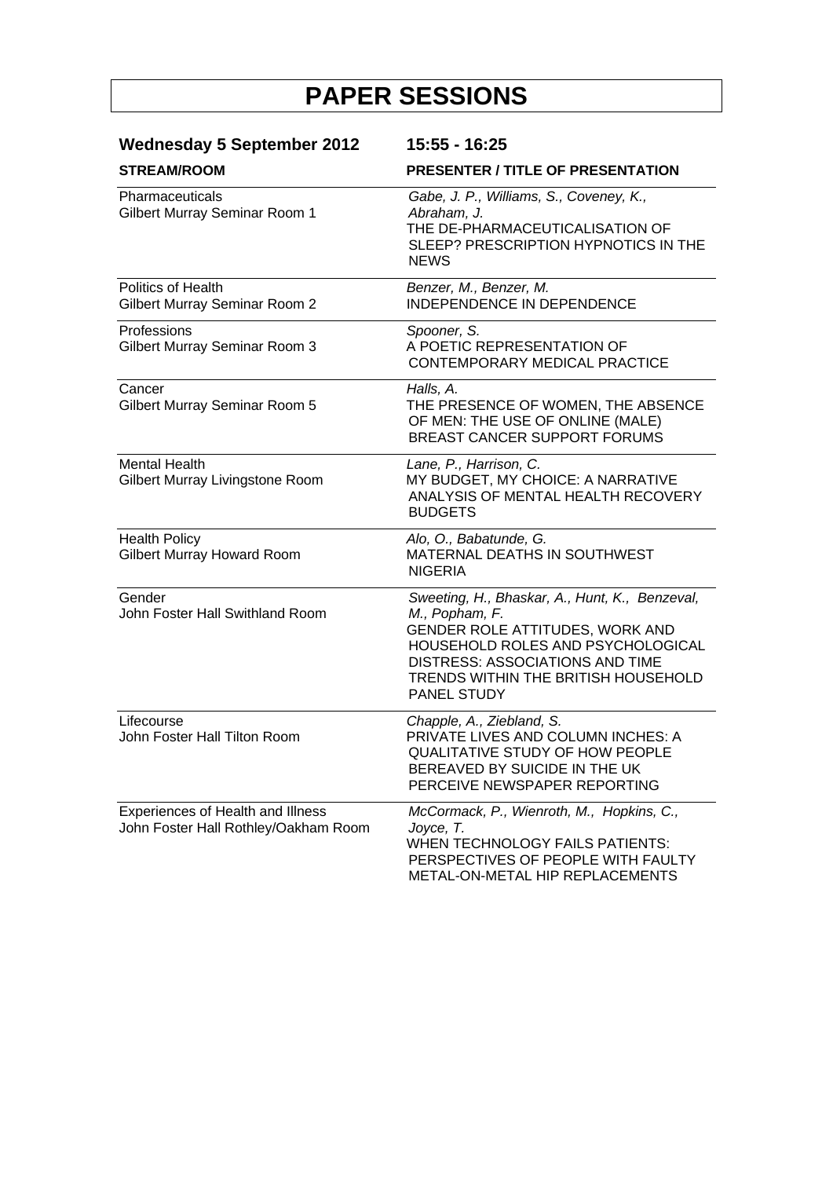| <b>Wednesday 5 September 2012</b><br><b>STREAM/ROOM</b>                   | 15:55 - 16:25<br><b>PRESENTER / TITLE OF PRESENTATION</b>                                                                                                                                                                         |
|---------------------------------------------------------------------------|-----------------------------------------------------------------------------------------------------------------------------------------------------------------------------------------------------------------------------------|
|                                                                           |                                                                                                                                                                                                                                   |
| <b>Politics of Health</b><br>Gilbert Murray Seminar Room 2                | Benzer, M., Benzer, M.<br><b>INDEPENDENCE IN DEPENDENCE</b>                                                                                                                                                                       |
| Professions<br>Gilbert Murray Seminar Room 3                              | Spooner, S.<br>A POETIC REPRESENTATION OF<br>CONTEMPORARY MEDICAL PRACTICE                                                                                                                                                        |
| Cancer<br>Gilbert Murray Seminar Room 5                                   | Halls, A.<br>THE PRESENCE OF WOMEN, THE ABSENCE<br>OF MEN: THE USE OF ONLINE (MALE)<br><b>BREAST CANCER SUPPORT FORUMS</b>                                                                                                        |
| <b>Mental Health</b><br>Gilbert Murray Livingstone Room                   | Lane, P., Harrison, C.<br>MY BUDGET, MY CHOICE: A NARRATIVE<br>ANALYSIS OF MENTAL HEALTH RECOVERY<br><b>BUDGETS</b>                                                                                                               |
| <b>Health Policy</b><br><b>Gilbert Murray Howard Room</b>                 | Alo, O., Babatunde, G.<br>MATERNAL DEATHS IN SOUTHWEST<br><b>NIGERIA</b>                                                                                                                                                          |
| Gender<br>John Foster Hall Swithland Room                                 | Sweeting, H., Bhaskar, A., Hunt, K., Benzeval,<br>M., Popham, F.<br>GENDER ROLE ATTITUDES, WORK AND<br>HOUSEHOLD ROLES AND PSYCHOLOGICAL<br>DISTRESS: ASSOCIATIONS AND TIME<br>TRENDS WITHIN THE BRITISH HOUSEHOLD<br>PANEL STUDY |
| Lifecourse<br>John Foster Hall Tilton Room                                | Chapple, A., Ziebland, S.<br>PRIVATE LIVES AND COLUMN INCHES: A<br>QUALITATIVE STUDY OF HOW PEOPLE<br>BEREAVED BY SUICIDE IN THE UK<br>PERCEIVE NEWSPAPER REPORTING                                                               |
| Experiences of Health and Illness<br>John Foster Hall Rothley/Oakham Room | McCormack, P., Wienroth, M., Hopkins, C.,<br>Joyce, T.<br>WHEN TECHNOLOGY FAILS PATIENTS:<br>PERSPECTIVES OF PEOPLE WITH FAULTY<br>METAL-ON-METAL HIP REPLACEMENTS                                                                |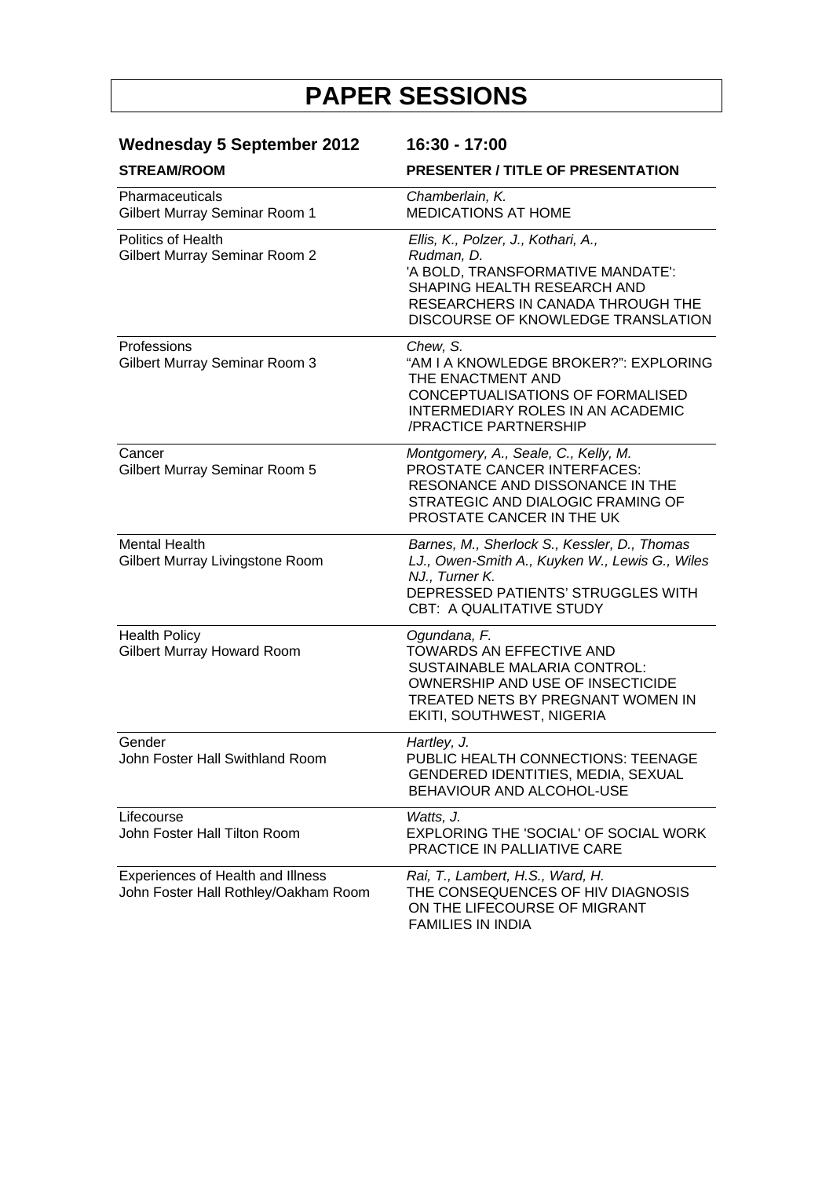| <b>Wednesday 5 September 2012</b>                                         | 16:30 - 17:00                                                                                                                                                                                    |
|---------------------------------------------------------------------------|--------------------------------------------------------------------------------------------------------------------------------------------------------------------------------------------------|
| <b>STREAM/ROOM</b>                                                        | <b>PRESENTER / TITLE OF PRESENTATION</b>                                                                                                                                                         |
| Pharmaceuticals<br>Gilbert Murray Seminar Room 1                          | Chamberlain, K.<br><b>MEDICATIONS AT HOME</b>                                                                                                                                                    |
| <b>Politics of Health</b><br>Gilbert Murray Seminar Room 2                | Ellis, K., Polzer, J., Kothari, A.,<br>Rudman, D.<br>'A BOLD, TRANSFORMATIVE MANDATE':<br>SHAPING HEALTH RESEARCH AND<br>RESEARCHERS IN CANADA THROUGH THE<br>DISCOURSE OF KNOWLEDGE TRANSLATION |
| Professions<br>Gilbert Murray Seminar Room 3                              | Chew, S.<br>"AM I A KNOWLEDGE BROKER?": EXPLORING<br>THE ENACTMENT AND<br>CONCEPTUALISATIONS OF FORMALISED<br><b>INTERMEDIARY ROLES IN AN ACADEMIC</b><br>/PRACTICE PARTNERSHIP                  |
| Cancer<br>Gilbert Murray Seminar Room 5                                   | Montgomery, A., Seale, C., Kelly, M.<br>PROSTATE CANCER INTERFACES:<br>RESONANCE AND DISSONANCE IN THE<br>STRATEGIC AND DIALOGIC FRAMING OF<br>PROSTATE CANCER IN THE UK                         |
| <b>Mental Health</b><br>Gilbert Murray Livingstone Room                   | Barnes, M., Sherlock S., Kessler, D., Thomas<br>LJ., Owen-Smith A., Kuyken W., Lewis G., Wiles<br>NJ., Turner K.<br>DEPRESSED PATIENTS' STRUGGLES WITH<br><b>CBT: A QUALITATIVE STUDY</b>        |
| <b>Health Policy</b><br>Gilbert Murray Howard Room                        | Ogundana, F.<br>TOWARDS AN EFFECTIVE AND<br>SUSTAINABLE MALARIA CONTROL:<br>OWNERSHIP AND USE OF INSECTICIDE<br>TREATED NETS BY PREGNANT WOMEN IN<br>EKITI, SOUTHWEST, NIGERIA                   |
| Gender<br>John Foster Hall Swithland Room                                 | Hartley, J.<br>PUBLIC HEALTH CONNECTIONS: TEENAGE<br>GENDERED IDENTITIES, MEDIA, SEXUAL<br>BEHAVIOUR AND ALCOHOL-USE                                                                             |
| Lifecourse<br>John Foster Hall Tilton Room                                | Watts, J.<br>EXPLORING THE 'SOCIAL' OF SOCIAL WORK<br>PRACTICE IN PALLIATIVE CARE                                                                                                                |
| Experiences of Health and Illness<br>John Foster Hall Rothley/Oakham Room | Rai, T., Lambert, H.S., Ward, H.<br>THE CONSEQUENCES OF HIV DIAGNOSIS<br>ON THE LIFECOURSE OF MIGRANT<br><b>FAMILIES IN INDIA</b>                                                                |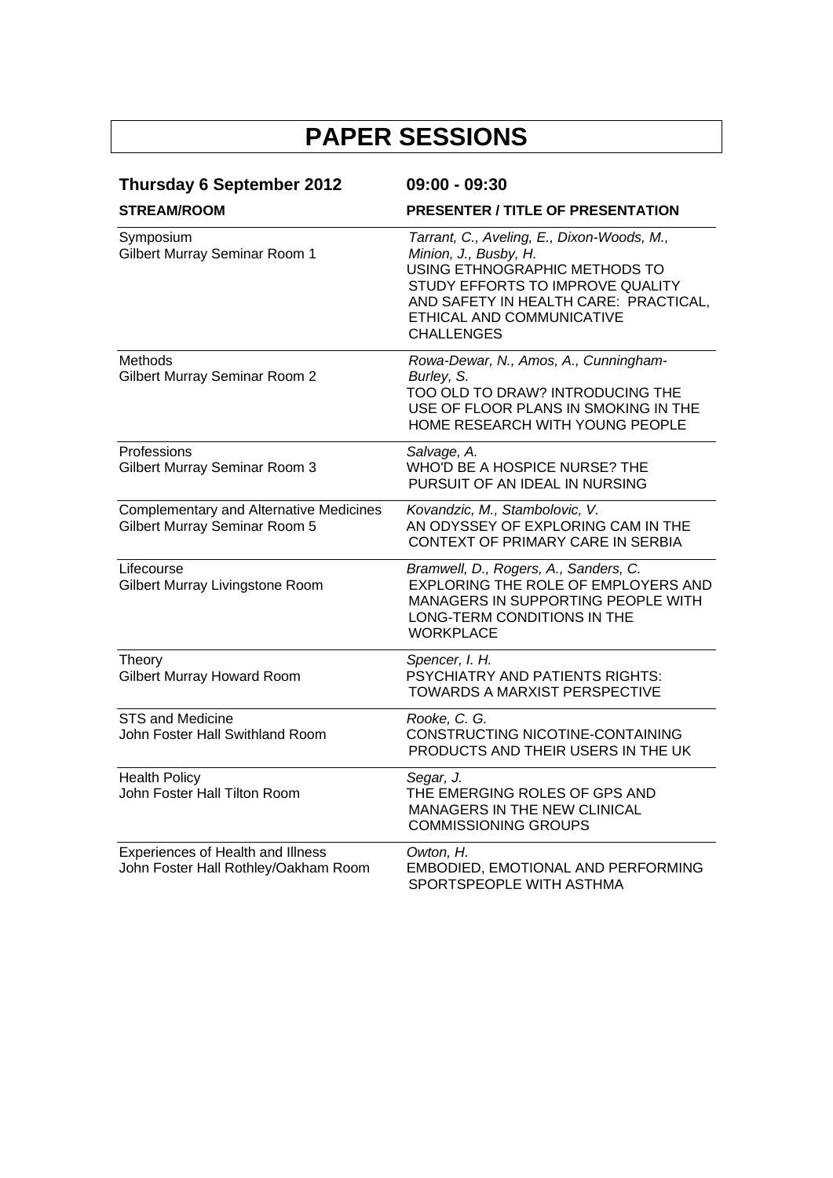| <b>Thursday 6 September 2012</b><br><b>STREAM/ROOM</b>                          | 09:00 - 09:30<br>PRESENTER / TITLE OF PRESENTATION                                                                                                                    |
|---------------------------------------------------------------------------------|-----------------------------------------------------------------------------------------------------------------------------------------------------------------------|
|                                                                                 |                                                                                                                                                                       |
| Methods<br><b>Gilbert Murray Seminar Room 2</b>                                 | Rowa-Dewar, N., Amos, A., Cunningham-<br>Burley, S.<br>TOO OLD TO DRAW? INTRODUCING THE<br>USE OF FLOOR PLANS IN SMOKING IN THE<br>HOME RESEARCH WITH YOUNG PEOPLE    |
| Professions<br>Gilbert Murray Seminar Room 3                                    | Salvage, A.<br>WHO'D BE A HOSPICE NURSE? THE<br>PURSUIT OF AN IDEAL IN NURSING                                                                                        |
| <b>Complementary and Alternative Medicines</b><br>Gilbert Murray Seminar Room 5 | Kovandzic, M., Stambolovic, V.<br>AN ODYSSEY OF EXPLORING CAM IN THE<br>CONTEXT OF PRIMARY CARE IN SERBIA                                                             |
| Lifecourse<br>Gilbert Murray Livingstone Room                                   | Bramwell, D., Rogers, A., Sanders, C.<br>EXPLORING THE ROLE OF EMPLOYERS AND<br>MANAGERS IN SUPPORTING PEOPLE WITH<br>LONG-TERM CONDITIONS IN THE<br><b>WORKPLACE</b> |
| Theory<br><b>Gilbert Murray Howard Room</b>                                     | Spencer, I. H.<br>PSYCHIATRY AND PATIENTS RIGHTS:<br>TOWARDS A MARXIST PERSPECTIVE                                                                                    |
| <b>STS and Medicine</b><br>John Foster Hall Swithland Room                      | Rooke, C. G.<br>CONSTRUCTING NICOTINE-CONTAINING<br>PRODUCTS AND THEIR USERS IN THE UK                                                                                |
| <b>Health Policy</b><br>John Foster Hall Tilton Room                            | Segar, J.<br>THE EMERGING ROLES OF GPS AND<br>MANAGERS IN THE NEW CLINICAL<br><b>COMMISSIONING GROUPS</b>                                                             |
| Experiences of Health and Illness<br>John Foster Hall Rothley/Oakham Room       | Owton, H.<br>EMBODIED, EMOTIONAL AND PERFORMING<br>SPORTSPEOPLE WITH ASTHMA                                                                                           |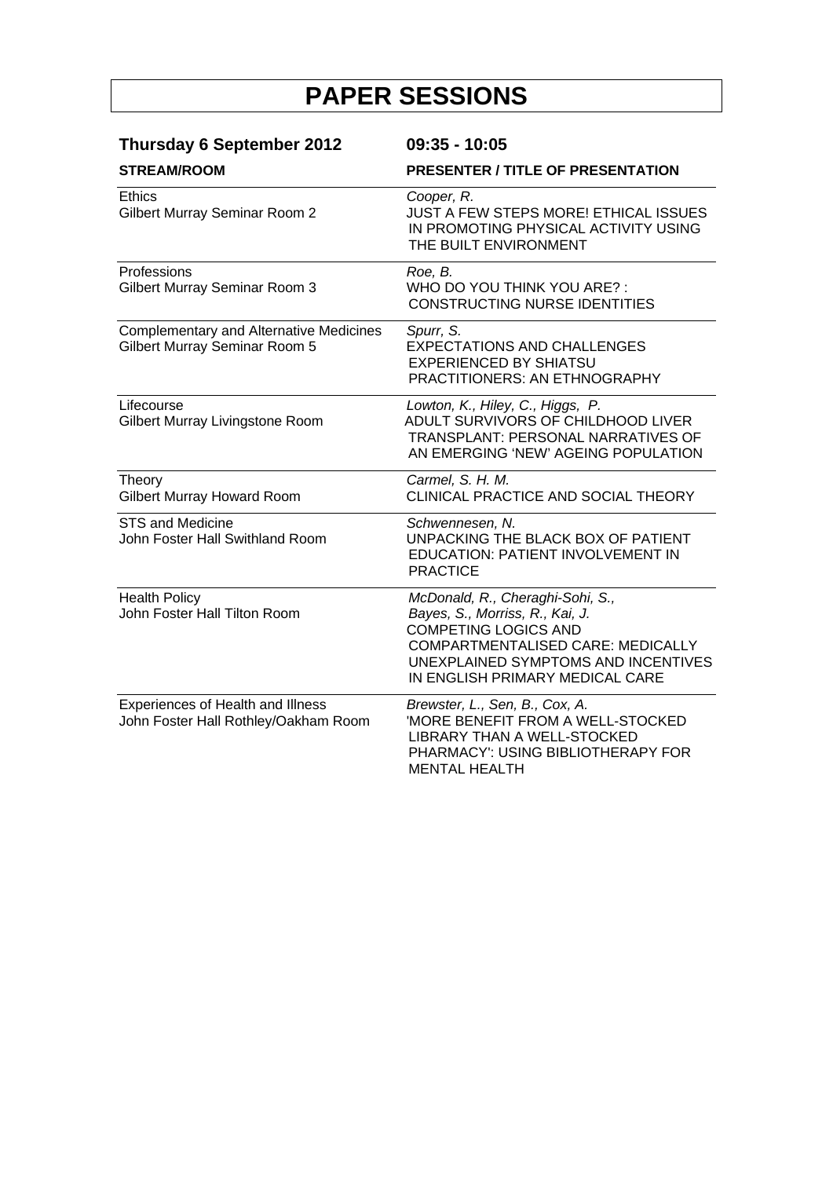| <b>Thursday 6 September 2012</b><br><b>STREAM/ROOM</b>                          | $09:35 - 10:05$                                                                                                                                                                                                   |  |
|---------------------------------------------------------------------------------|-------------------------------------------------------------------------------------------------------------------------------------------------------------------------------------------------------------------|--|
|                                                                                 | <b>PRESENTER / TITLE OF PRESENTATION</b>                                                                                                                                                                          |  |
| <b>Ethics</b><br>Gilbert Murray Seminar Room 2                                  | Cooper, R.<br><b>JUST A FEW STEPS MORE! ETHICAL ISSUES</b><br>IN PROMOTING PHYSICAL ACTIVITY USING<br>THE BUILT ENVIRONMENT                                                                                       |  |
| Professions<br>Gilbert Murray Seminar Room 3                                    | Roe, B.<br>WHO DO YOU THINK YOU ARE?:<br><b>CONSTRUCTING NURSE IDENTITIES</b>                                                                                                                                     |  |
| <b>Complementary and Alternative Medicines</b><br>Gilbert Murray Seminar Room 5 | Spurr, S.<br><b>EXPECTATIONS AND CHALLENGES</b><br><b>EXPERIENCED BY SHIATSU</b><br><b>PRACTITIONERS: AN ETHNOGRAPHY</b>                                                                                          |  |
| Lifecourse<br>Gilbert Murray Livingstone Room                                   | Lowton, K., Hiley, C., Higgs, P.<br>ADULT SURVIVORS OF CHILDHOOD LIVER<br><b>TRANSPLANT: PERSONAL NARRATIVES OF</b><br>AN EMERGING 'NEW' AGEING POPULATION                                                        |  |
| Theory<br><b>Gilbert Murray Howard Room</b>                                     | Carmel, S. H. M.<br>CLINICAL PRACTICE AND SOCIAL THEORY                                                                                                                                                           |  |
| <b>STS and Medicine</b><br>John Foster Hall Swithland Room                      | Schwennesen, N.<br>UNPACKING THE BLACK BOX OF PATIENT<br>EDUCATION: PATIENT INVOLVEMENT IN<br><b>PRACTICE</b>                                                                                                     |  |
| <b>Health Policy</b><br>John Foster Hall Tilton Room                            | McDonald, R., Cheraghi-Sohi, S.,<br>Bayes, S., Morriss, R., Kai, J.<br><b>COMPETING LOGICS AND</b><br>COMPARTMENTALISED CARE: MEDICALLY<br>UNEXPLAINED SYMPTOMS AND INCENTIVES<br>IN ENGLISH PRIMARY MEDICAL CARE |  |
| Experiences of Health and Illness<br>John Foster Hall Rothley/Oakham Room       | Brewster, L., Sen, B., Cox, A.<br>'MORE BENEFIT FROM A WELL-STOCKED<br>LIBRARY THAN A WELL-STOCKED<br>PHARMACY': USING BIBLIOTHERAPY FOR<br><b>MENTAL HEALTH</b>                                                  |  |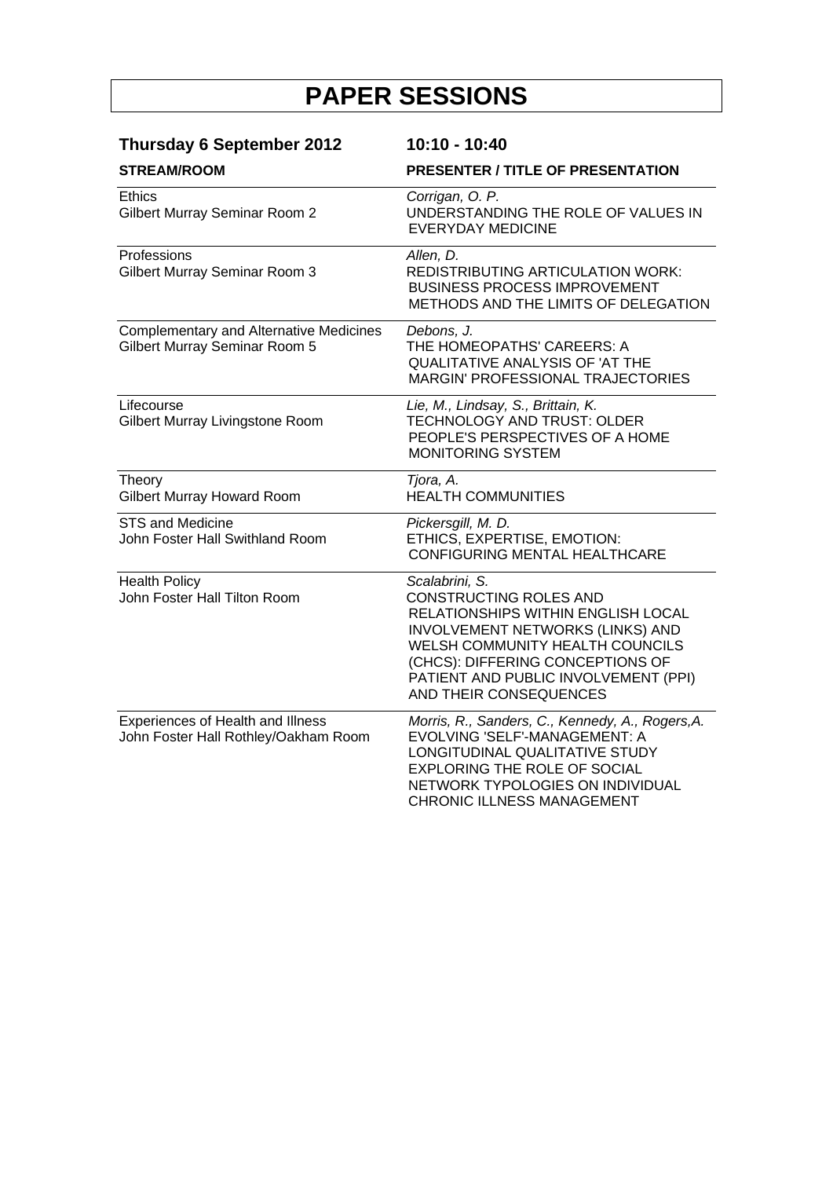| <b>Thursday 6 September 2012</b>                                                | 10:10 - 10:40                                                                                                                                                                                                                                                      |
|---------------------------------------------------------------------------------|--------------------------------------------------------------------------------------------------------------------------------------------------------------------------------------------------------------------------------------------------------------------|
| <b>STREAM/ROOM</b>                                                              | <b>PRESENTER / TITLE OF PRESENTATION</b>                                                                                                                                                                                                                           |
| Ethics<br>Gilbert Murray Seminar Room 2                                         | Corrigan, O. P.<br>UNDERSTANDING THE ROLE OF VALUES IN<br><b>EVERYDAY MEDICINE</b>                                                                                                                                                                                 |
| Professions<br>Gilbert Murray Seminar Room 3                                    | Allen, D.<br><b>REDISTRIBUTING ARTICULATION WORK:</b><br><b>BUSINESS PROCESS IMPROVEMENT</b><br>METHODS AND THE LIMITS OF DELEGATION                                                                                                                               |
| <b>Complementary and Alternative Medicines</b><br>Gilbert Murray Seminar Room 5 | Debons, J.<br>THE HOMEOPATHS' CAREERS: A<br>QUALITATIVE ANALYSIS OF 'AT THE<br>MARGIN' PROFESSIONAL TRAJECTORIES                                                                                                                                                   |
| Lifecourse<br>Gilbert Murray Livingstone Room                                   | Lie, M., Lindsay, S., Brittain, K.<br>TECHNOLOGY AND TRUST: OLDER<br>PEOPLE'S PERSPECTIVES OF A HOME<br><b>MONITORING SYSTEM</b>                                                                                                                                   |
| Theory<br>Gilbert Murray Howard Room                                            | Tjora, A.<br><b>HEALTH COMMUNITIES</b>                                                                                                                                                                                                                             |
| <b>STS and Medicine</b><br>John Foster Hall Swithland Room                      | Pickersgill, M. D.<br>ETHICS, EXPERTISE, EMOTION:<br><b>CONFIGURING MENTAL HEALTHCARE</b>                                                                                                                                                                          |
| <b>Health Policy</b><br>John Foster Hall Tilton Room                            | Scalabrini, S.<br>CONSTRUCTING ROLES AND<br>RELATIONSHIPS WITHIN ENGLISH LOCAL<br><b>INVOLVEMENT NETWORKS (LINKS) AND</b><br>WELSH COMMUNITY HEALTH COUNCILS<br>(CHCS): DIFFERING CONCEPTIONS OF<br>PATIENT AND PUBLIC INVOLVEMENT (PPI)<br>AND THEIR CONSEQUENCES |
| Experiences of Health and Illness<br>John Foster Hall Rothley/Oakham Room       | Morris, R., Sanders, C., Kennedy, A., Rogers, A.<br>EVOLVING 'SELF'-MANAGEMENT: A<br>LONGITUDINAL QUALITATIVE STUDY<br><b>EXPLORING THE ROLE OF SOCIAL</b><br>NETWORK TYPOLOGIES ON INDIVIDUAL<br>CHRONIC ILLNESS MANAGEMENT                                       |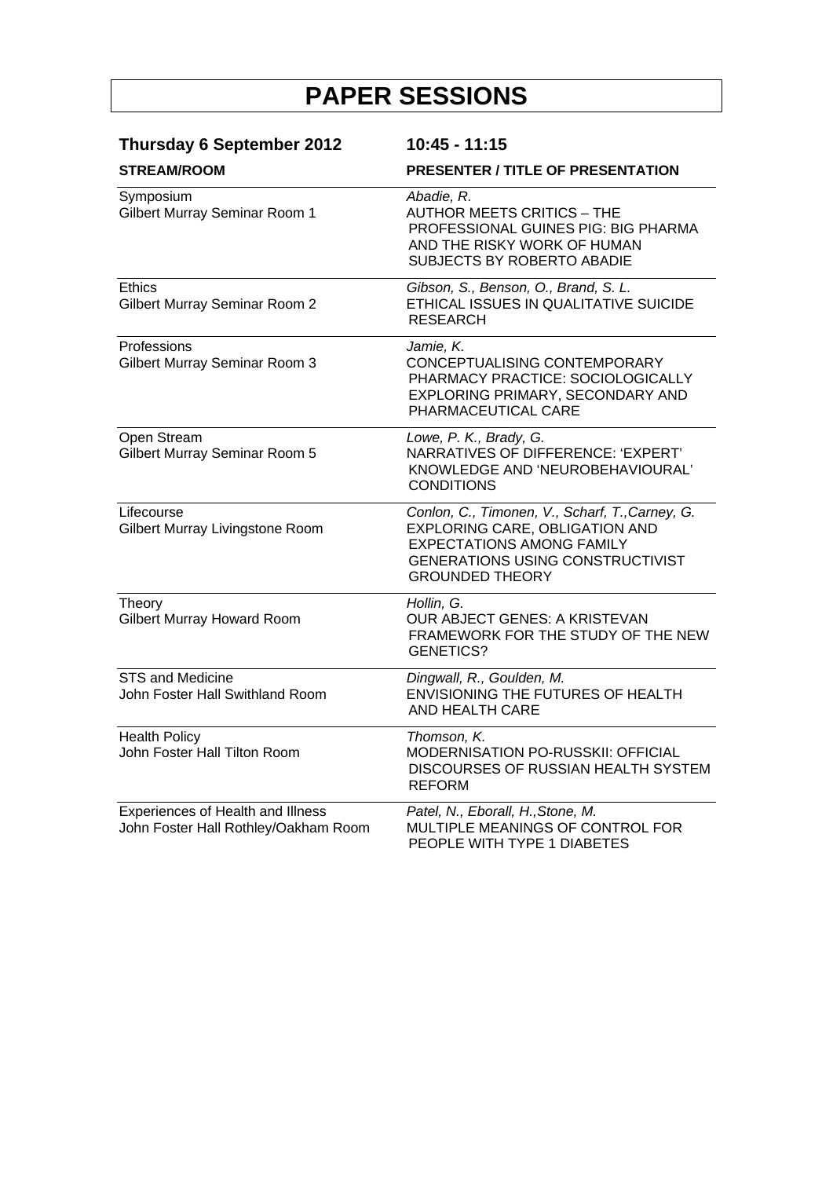| <b>Thursday 6 September 2012</b><br><b>STREAM/ROOM</b>                    | 10:45 - 11:15                                                                                                                                                                              |  |
|---------------------------------------------------------------------------|--------------------------------------------------------------------------------------------------------------------------------------------------------------------------------------------|--|
|                                                                           | <b>PRESENTER / TITLE OF PRESENTATION</b>                                                                                                                                                   |  |
| Symposium<br>Gilbert Murray Seminar Room 1                                | Abadie, R.<br><b>AUTHOR MEETS CRITICS - THE</b><br>PROFESSIONAL GUINES PIG: BIG PHARMA<br>AND THE RISKY WORK OF HUMAN<br><b>SUBJECTS BY ROBERTO ABADIE</b>                                 |  |
| <b>Ethics</b><br><b>Gilbert Murray Seminar Room 2</b>                     | Gibson, S., Benson, O., Brand, S. L.<br>ETHICAL ISSUES IN QUALITATIVE SUICIDE<br><b>RESEARCH</b>                                                                                           |  |
| Professions<br>Gilbert Murray Seminar Room 3                              | Jamie, K.<br>CONCEPTUALISING CONTEMPORARY<br>PHARMACY PRACTICE: SOCIOLOGICALLY<br>EXPLORING PRIMARY, SECONDARY AND<br>PHARMACEUTICAL CARE                                                  |  |
| Open Stream<br>Gilbert Murray Seminar Room 5                              | Lowe, P. K., Brady, G.<br>NARRATIVES OF DIFFERENCE: 'EXPERT'<br>KNOWLEDGE AND 'NEUROBEHAVIOURAL'<br><b>CONDITIONS</b>                                                                      |  |
| Lifecourse<br>Gilbert Murray Livingstone Room                             | Conlon, C., Timonen, V., Scharf, T., Carney, G.<br>EXPLORING CARE, OBLIGATION AND<br><b>EXPECTATIONS AMONG FAMILY</b><br><b>GENERATIONS USING CONSTRUCTIVIST</b><br><b>GROUNDED THEORY</b> |  |
| Theory<br><b>Gilbert Murray Howard Room</b>                               | Hollin, G.<br>OUR ABJECT GENES: A KRISTEVAN<br>FRAMEWORK FOR THE STUDY OF THE NEW<br><b>GENETICS?</b>                                                                                      |  |
| <b>STS and Medicine</b><br>John Foster Hall Swithland Room                | Dingwall, R., Goulden, M.<br>ENVISIONING THE FUTURES OF HEALTH<br><b>AND HEALTH CARE</b>                                                                                                   |  |
| <b>Health Policy</b><br>John Foster Hall Tilton Room                      | Thomson, K.<br>MODERNISATION PO-RUSSKII: OFFICIAL<br>DISCOURSES OF RUSSIAN HEALTH SYSTEM<br><b>REFORM</b>                                                                                  |  |
| Experiences of Health and Illness<br>John Foster Hall Rothley/Oakham Room | Patel, N., Eborall, H., Stone, M.<br>MULTIPLE MEANINGS OF CONTROL FOR<br>PEOPLE WITH TYPE 1 DIABETES                                                                                       |  |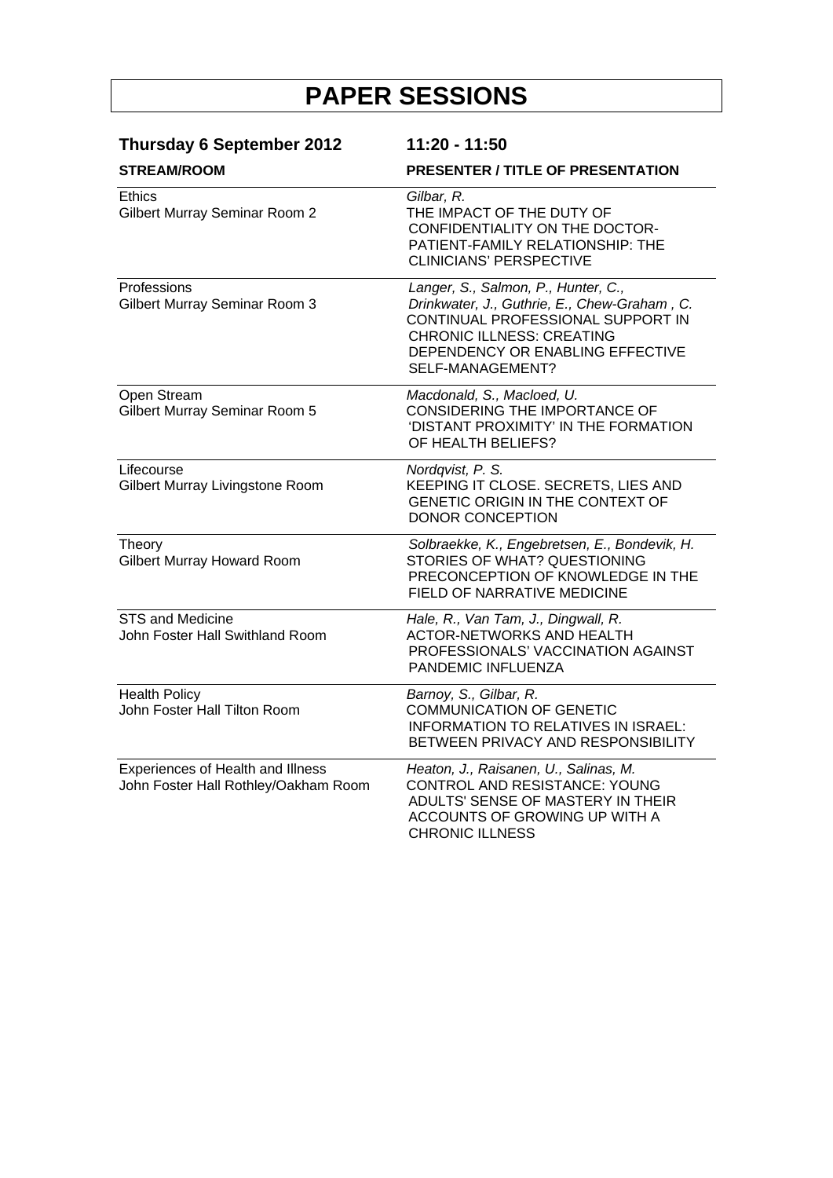| <b>Thursday 6 September 2012</b><br><b>STREAM/ROOM</b>                    | 11:20 - 11:50                                                                                                                                                                                                        |  |
|---------------------------------------------------------------------------|----------------------------------------------------------------------------------------------------------------------------------------------------------------------------------------------------------------------|--|
|                                                                           | <b>PRESENTER / TITLE OF PRESENTATION</b>                                                                                                                                                                             |  |
| <b>Ethics</b><br>Gilbert Murray Seminar Room 2                            | Gilbar, R.<br>THE IMPACT OF THE DUTY OF<br>CONFIDENTIALITY ON THE DOCTOR-<br>PATIENT-FAMILY RELATIONSHIP: THE<br><b>CLINICIANS' PERSPECTIVE</b>                                                                      |  |
| Professions<br>Gilbert Murray Seminar Room 3                              | Langer, S., Salmon, P., Hunter, C.,<br>Drinkwater, J., Guthrie, E., Chew-Graham, C.<br>CONTINUAL PROFESSIONAL SUPPORT IN<br><b>CHRONIC ILLNESS: CREATING</b><br>DEPENDENCY OR ENABLING EFFECTIVE<br>SELF-MANAGEMENT? |  |
| Open Stream<br>Gilbert Murray Seminar Room 5                              | Macdonald, S., Macloed, U.<br>CONSIDERING THE IMPORTANCE OF<br>'DISTANT PROXIMITY' IN THE FORMATION<br>OF HEALTH BELIEFS?                                                                                            |  |
| Lifecourse<br>Gilbert Murray Livingstone Room                             | Nordqvist, P. S.<br>KEEPING IT CLOSE. SECRETS, LIES AND<br>GENETIC ORIGIN IN THE CONTEXT OF<br><b>DONOR CONCEPTION</b>                                                                                               |  |
| Theory<br><b>Gilbert Murray Howard Room</b>                               | Solbraekke, K., Engebretsen, E., Bondevik, H.<br>STORIES OF WHAT? QUESTIONING<br>PRECONCEPTION OF KNOWLEDGE IN THE<br>FIELD OF NARRATIVE MEDICINE                                                                    |  |
| <b>STS and Medicine</b><br>John Foster Hall Swithland Room                | Hale, R., Van Tam, J., Dingwall, R.<br><b>ACTOR-NETWORKS AND HEALTH</b><br>PROFESSIONALS' VACCINATION AGAINST<br>PANDEMIC INFLUENZA                                                                                  |  |
| <b>Health Policy</b><br>John Foster Hall Tilton Room                      | Barnoy, S., Gilbar, R.<br><b>COMMUNICATION OF GENETIC</b><br><b>INFORMATION TO RELATIVES IN ISRAEL:</b><br>BETWEEN PRIVACY AND RESPONSIBILITY                                                                        |  |
| Experiences of Health and Illness<br>John Foster Hall Rothley/Oakham Room | Heaton, J., Raisanen, U., Salinas, M.<br>CONTROL AND RESISTANCE: YOUNG<br>ADULTS' SENSE OF MASTERY IN THEIR<br>ACCOUNTS OF GROWING UP WITH A<br><b>CHRONIC ILLNESS</b>                                               |  |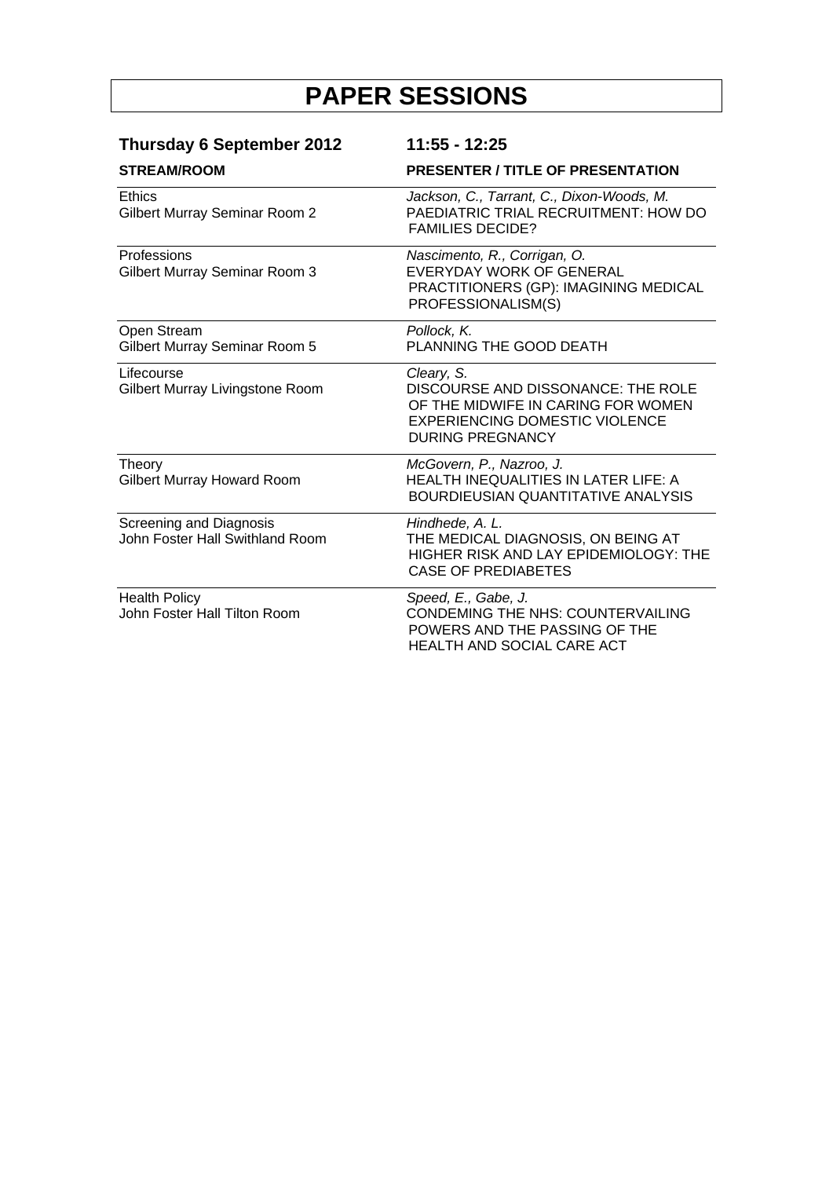| <b>Thursday 6 September 2012</b>                                  | 11:55 - 12:25                                                                                                                                              |
|-------------------------------------------------------------------|------------------------------------------------------------------------------------------------------------------------------------------------------------|
| <b>STREAM/ROOM</b>                                                | <b>PRESENTER / TITLE OF PRESENTATION</b>                                                                                                                   |
| <b>Ethics</b><br>Gilbert Murray Seminar Room 2                    | Jackson, C., Tarrant, C., Dixon-Woods, M.<br>PAEDIATRIC TRIAL RECRUITMENT: HOW DO<br><b>FAMILIES DECIDE?</b>                                               |
| <b>Professions</b><br>Gilbert Murray Seminar Room 3               | Nascimento, R., Corrigan, O.<br>EVERYDAY WORK OF GENERAL<br>PRACTITIONERS (GP): IMAGINING MEDICAL<br>PROFESSIONALISM(S)                                    |
| Open Stream<br>Gilbert Murray Seminar Room 5                      | Pollock, K.<br>PLANNING THE GOOD DEATH                                                                                                                     |
| Lifecourse<br>Gilbert Murray Livingstone Room                     | Cleary, S.<br>DISCOURSE AND DISSONANCE: THE ROLE<br>OF THE MIDWIFE IN CARING FOR WOMEN<br><b>EXPERIENCING DOMESTIC VIOLENCE</b><br><b>DURING PREGNANCY</b> |
| Theory<br>Gilbert Murray Howard Room                              | McGovern, P., Nazroo, J.<br>HEALTH INEQUALITIES IN LATER LIFE: A<br>BOURDIEUSIAN QUANTITATIVE ANALYSIS                                                     |
| <b>Screening and Diagnosis</b><br>John Foster Hall Swithland Room | Hindhede, A. L.<br>THE MEDICAL DIAGNOSIS, ON BEING AT<br>HIGHER RISK AND LAY EPIDEMIOLOGY: THE<br><b>CASE OF PREDIABETES</b>                               |
| <b>Health Policy</b><br>John Foster Hall Tilton Room              | Speed, E., Gabe, J.<br>CONDEMING THE NHS: COUNTERVAILING<br>POWERS AND THE PASSING OF THE<br>HEALTH AND SOCIAL CARE ACT                                    |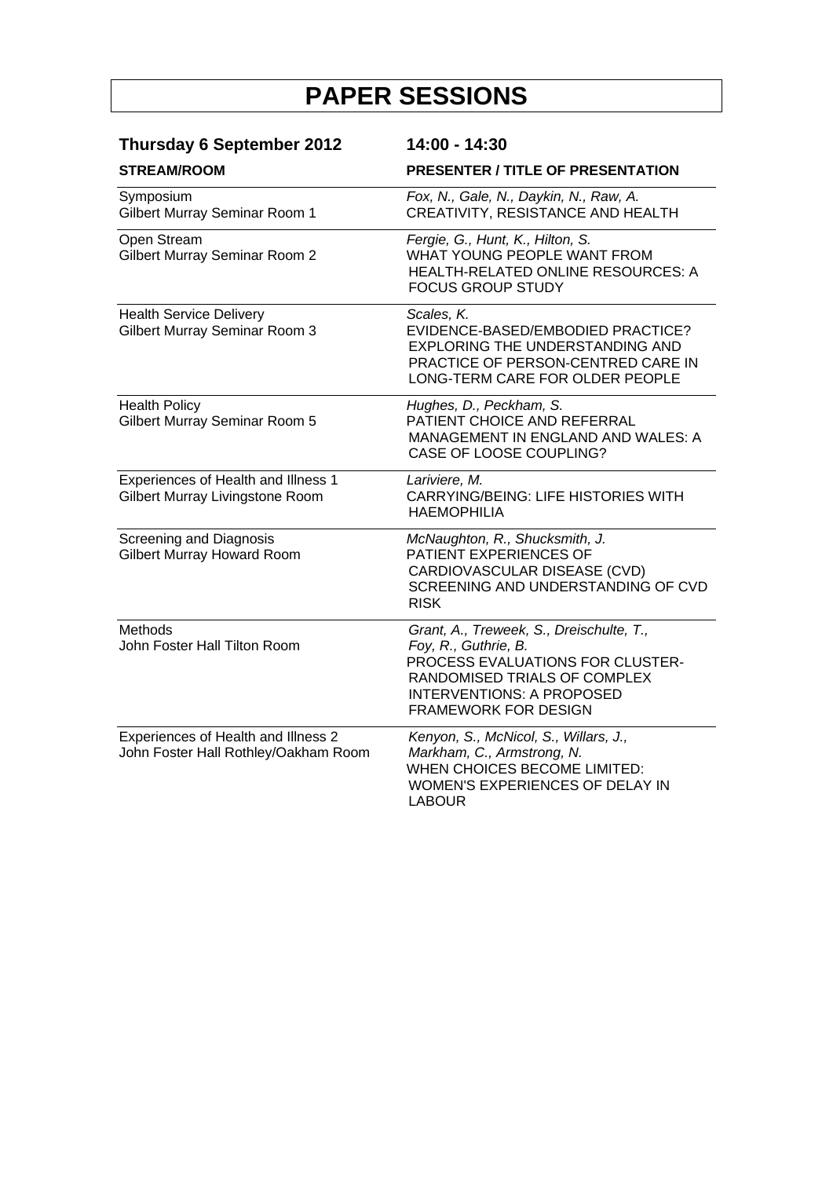| <b>Thursday 6 September 2012</b>                                            | 14:00 - 14:30                                                                                                                                                                                           |
|-----------------------------------------------------------------------------|---------------------------------------------------------------------------------------------------------------------------------------------------------------------------------------------------------|
| <b>STREAM/ROOM</b>                                                          | <b>PRESENTER / TITLE OF PRESENTATION</b>                                                                                                                                                                |
| Symposium<br>Gilbert Murray Seminar Room 1                                  | Fox, N., Gale, N., Daykin, N., Raw, A.<br>CREATIVITY, RESISTANCE AND HEALTH                                                                                                                             |
| Open Stream<br><b>Gilbert Murray Seminar Room 2</b>                         | Fergie, G., Hunt, K., Hilton, S.<br>WHAT YOUNG PEOPLE WANT FROM<br>HEALTH-RELATED ONLINE RESOURCES: A<br><b>FOCUS GROUP STUDY</b>                                                                       |
| <b>Health Service Delivery</b><br><b>Gilbert Murray Seminar Room 3</b>      | Scales, K.<br>EVIDENCE-BASED/EMBODIED PRACTICE?<br><b>EXPLORING THE UNDERSTANDING AND</b><br>PRACTICE OF PERSON-CENTRED CARE IN<br>LONG-TERM CARE FOR OLDER PEOPLE                                      |
| <b>Health Policy</b><br>Gilbert Murray Seminar Room 5                       | Hughes, D., Peckham, S.<br>PATIENT CHOICE AND REFERRAL<br>MANAGEMENT IN ENGLAND AND WALES: A<br>CASE OF LOOSE COUPLING?                                                                                 |
| Experiences of Health and Illness 1<br>Gilbert Murray Livingstone Room      | Lariviere, M.<br><b>CARRYING/BEING: LIFE HISTORIES WITH</b><br><b>HAEMOPHILIA</b>                                                                                                                       |
| Screening and Diagnosis<br><b>Gilbert Murray Howard Room</b>                | McNaughton, R., Shucksmith, J.<br>PATIENT EXPERIENCES OF<br>CARDIOVASCULAR DISEASE (CVD)<br>SCREENING AND UNDERSTANDING OF CVD<br><b>RISK</b>                                                           |
| Methods<br>John Foster Hall Tilton Room                                     | Grant, A., Treweek, S., Dreischulte, T.,<br>Foy, R., Guthrie, B.<br>PROCESS EVALUATIONS FOR CLUSTER-<br>RANDOMISED TRIALS OF COMPLEX<br><b>INTERVENTIONS: A PROPOSED</b><br><b>FRAMEWORK FOR DESIGN</b> |
| Experiences of Health and Illness 2<br>John Foster Hall Rothley/Oakham Room | Kenyon, S., McNicol, S., Willars, J.,<br>Markham, C., Armstrong, N.<br>WHEN CHOICES BECOME LIMITED:<br>WOMEN'S EXPERIENCES OF DELAY IN<br><b>LABOUR</b>                                                 |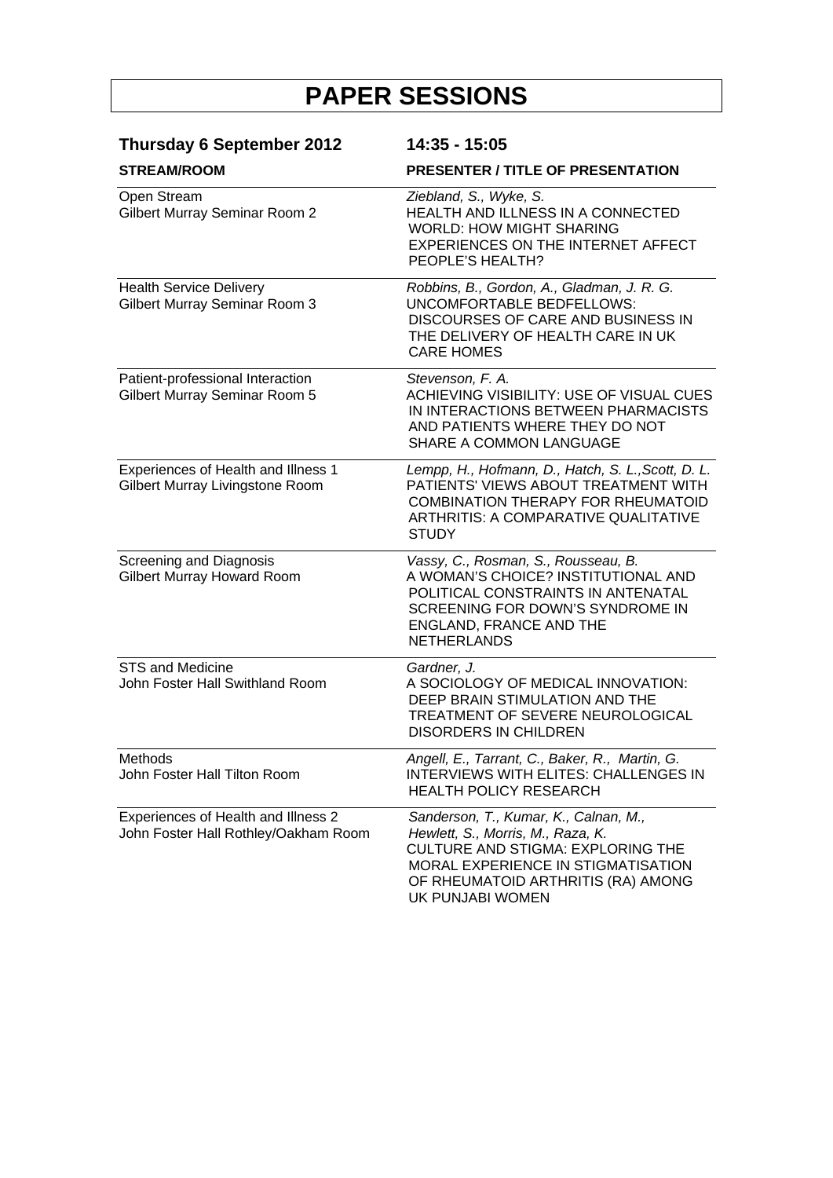| <b>Thursday 6 September 2012</b><br><b>STREAM/ROOM</b>                      | 14:35 - 15:05<br><b>PRESENTER / TITLE OF PRESENTATION</b>                                                                                                                                                       |
|-----------------------------------------------------------------------------|-----------------------------------------------------------------------------------------------------------------------------------------------------------------------------------------------------------------|
|                                                                             |                                                                                                                                                                                                                 |
| <b>Health Service Delivery</b><br>Gilbert Murray Seminar Room 3             | Robbins, B., Gordon, A., Gladman, J. R. G.<br><b>UNCOMFORTABLE BEDFELLOWS:</b><br>DISCOURSES OF CARE AND BUSINESS IN<br>THE DELIVERY OF HEALTH CARE IN UK<br><b>CARE HOMES</b>                                  |
| Patient-professional Interaction<br>Gilbert Murray Seminar Room 5           | Stevenson, F. A.<br>ACHIEVING VISIBILITY: USE OF VISUAL CUES<br>IN INTERACTIONS BETWEEN PHARMACISTS<br>AND PATIENTS WHERE THEY DO NOT<br>SHARE A COMMON LANGUAGE                                                |
| Experiences of Health and Illness 1<br>Gilbert Murray Livingstone Room      | Lempp, H., Hofmann, D., Hatch, S. L., Scott, D. L.<br>PATIENTS' VIEWS ABOUT TREATMENT WITH<br><b>COMBINATION THERAPY FOR RHEUMATOID</b><br><b>ARTHRITIS: A COMPARATIVE QUALITATIVE</b><br><b>STUDY</b>          |
| Screening and Diagnosis<br>Gilbert Murray Howard Room                       | Vassy, C., Rosman, S., Rousseau, B.<br>A WOMAN'S CHOICE? INSTITUTIONAL AND<br>POLITICAL CONSTRAINTS IN ANTENATAL<br>SCREENING FOR DOWN'S SYNDROME IN<br>ENGLAND, FRANCE AND THE<br><b>NETHERLANDS</b>           |
| <b>STS and Medicine</b><br>John Foster Hall Swithland Room                  | Gardner, J.<br>A SOCIOLOGY OF MEDICAL INNOVATION:<br>DEEP BRAIN STIMULATION AND THE<br>TREATMENT OF SEVERE NEUROLOGICAL<br><b>DISORDERS IN CHILDREN</b>                                                         |
| Methods<br>John Foster Hall Tilton Room                                     | Angell, E., Tarrant, C., Baker, R., Martin, G.<br>INTERVIEWS WITH ELITES: CHALLENGES IN<br><b>HEALTH POLICY RESEARCH</b>                                                                                        |
| Experiences of Health and Illness 2<br>John Foster Hall Rothley/Oakham Room | Sanderson, T., Kumar, K., Calnan, M.,<br>Hewlett, S., Morris, M., Raza, K.<br>CULTURE AND STIGMA: EXPLORING THE<br>MORAL EXPERIENCE IN STIGMATISATION<br>OF RHEUMATOID ARTHRITIS (RA) AMONG<br>UK PUNJABI WOMEN |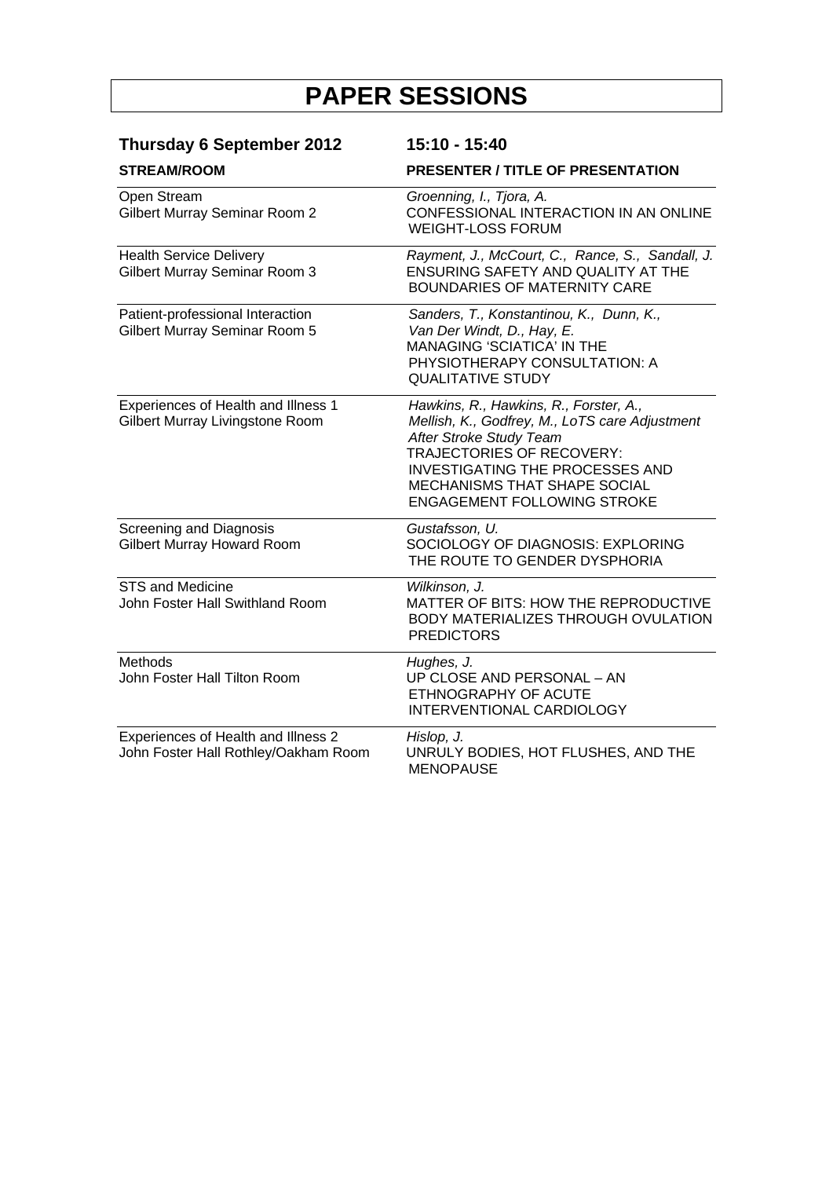| <b>Thursday 6 September 2012</b>                                            | 15:10 - 15:40                                                                                                                                                                                                                                                           |
|-----------------------------------------------------------------------------|-------------------------------------------------------------------------------------------------------------------------------------------------------------------------------------------------------------------------------------------------------------------------|
| <b>STREAM/ROOM</b>                                                          | <b>PRESENTER / TITLE OF PRESENTATION</b>                                                                                                                                                                                                                                |
| Open Stream<br><b>Gilbert Murray Seminar Room 2</b>                         | Groenning, I., Tjora, A.<br>CONFESSIONAL INTERACTION IN AN ONLINE<br><b>WEIGHT-LOSS FORUM</b>                                                                                                                                                                           |
| <b>Health Service Delivery</b><br><b>Gilbert Murray Seminar Room 3</b>      | Rayment, J., McCourt, C., Rance, S., Sandall, J.<br>ENSURING SAFETY AND QUALITY AT THE<br><b>BOUNDARIES OF MATERNITY CARE</b>                                                                                                                                           |
| Patient-professional Interaction<br>Gilbert Murray Seminar Room 5           | Sanders, T., Konstantinou, K., Dunn, K.,<br>Van Der Windt, D., Hay, E.<br><b>MANAGING 'SCIATICA' IN THE</b><br>PHYSIOTHERAPY CONSULTATION: A<br><b>QUALITATIVE STUDY</b>                                                                                                |
| Experiences of Health and Illness 1<br>Gilbert Murray Livingstone Room      | Hawkins, R., Hawkins, R., Forster, A.,<br>Mellish, K., Godfrey, M., LoTS care Adjustment<br>After Stroke Study Team<br>TRAJECTORIES OF RECOVERY:<br><b>INVESTIGATING THE PROCESSES AND</b><br><b>MECHANISMS THAT SHAPE SOCIAL</b><br><b>ENGAGEMENT FOLLOWING STROKE</b> |
| Screening and Diagnosis<br>Gilbert Murray Howard Room                       | Gustafsson, U.<br>SOCIOLOGY OF DIAGNOSIS: EXPLORING<br>THE ROUTE TO GENDER DYSPHORIA                                                                                                                                                                                    |
| <b>STS and Medicine</b><br>John Foster Hall Swithland Room                  | Wilkinson, J.<br>MATTER OF BITS: HOW THE REPRODUCTIVE<br>BODY MATERIALIZES THROUGH OVULATION<br><b>PREDICTORS</b>                                                                                                                                                       |
| Methods<br>John Foster Hall Tilton Room                                     | Hughes, J.<br>UP CLOSE AND PERSONAL - AN<br>ETHNOGRAPHY OF ACUTE<br>INTERVENTIONAL CARDIOLOGY                                                                                                                                                                           |
| Experiences of Health and Illness 2<br>John Foster Hall Rothley/Oakham Room | Hislop, J.<br>UNRULY BODIES, HOT FLUSHES, AND THE<br><b>MENOPAUSE</b>                                                                                                                                                                                                   |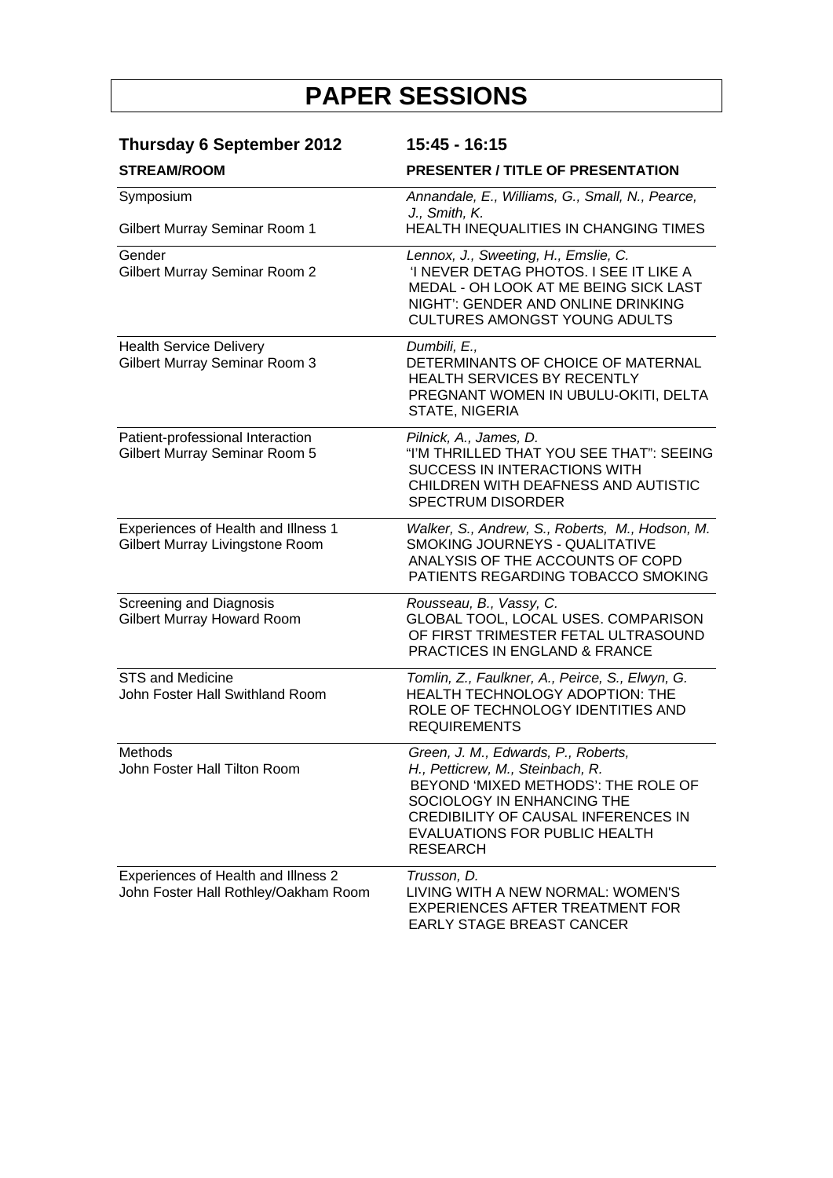| <b>Thursday 6 September 2012</b>                                            | 15:45 - 16:15                                                                                                                                                                                                                           |
|-----------------------------------------------------------------------------|-----------------------------------------------------------------------------------------------------------------------------------------------------------------------------------------------------------------------------------------|
| <b>STREAM/ROOM</b>                                                          | <b>PRESENTER / TITLE OF PRESENTATION</b>                                                                                                                                                                                                |
| Symposium                                                                   | Annandale, E., Williams, G., Small, N., Pearce,<br>J., Smith, K.                                                                                                                                                                        |
| Gilbert Murray Seminar Room 1                                               | HEALTH INEQUALITIES IN CHANGING TIMES                                                                                                                                                                                                   |
| Gender<br>Gilbert Murray Seminar Room 2                                     | Lennox, J., Sweeting, H., Emslie, C.<br>'I NEVER DETAG PHOTOS. I SEE IT LIKE A<br>MEDAL - OH LOOK AT ME BEING SICK LAST<br>NIGHT': GENDER AND ONLINE DRINKING<br><b>CULTURES AMONGST YOUNG ADULTS</b>                                   |
| <b>Health Service Delivery</b><br>Gilbert Murray Seminar Room 3             | Dumbili, E.,<br>DETERMINANTS OF CHOICE OF MATERNAL<br><b>HEALTH SERVICES BY RECENTLY</b><br>PREGNANT WOMEN IN UBULU-OKITI, DELTA<br>STATE, NIGERIA                                                                                      |
| Patient-professional Interaction<br>Gilbert Murray Seminar Room 5           | Pilnick, A., James, D.<br>"I'M THRILLED THAT YOU SEE THAT": SEEING<br>SUCCESS IN INTERACTIONS WITH<br>CHILDREN WITH DEAFNESS AND AUTISTIC<br><b>SPECTRUM DISORDER</b>                                                                   |
| Experiences of Health and Illness 1<br>Gilbert Murray Livingstone Room      | Walker, S., Andrew, S., Roberts, M., Hodson, M.<br>SMOKING JOURNEYS - QUALITATIVE<br>ANALYSIS OF THE ACCOUNTS OF COPD<br>PATIENTS REGARDING TOBACCO SMOKING                                                                             |
| Screening and Diagnosis<br><b>Gilbert Murray Howard Room</b>                | Rousseau, B., Vassy, C.<br>GLOBAL TOOL, LOCAL USES. COMPARISON<br>OF FIRST TRIMESTER FETAL ULTRASOUND<br>PRACTICES IN ENGLAND & FRANCE                                                                                                  |
| <b>STS and Medicine</b><br>John Foster Hall Swithland Room                  | Tomlin, Z., Faulkner, A., Peirce, S., Elwyn, G.<br>HEALTH TECHNOLOGY ADOPTION: THE<br>ROLE OF TECHNOLOGY IDENTITIES AND<br><b>REQUIREMENTS</b>                                                                                          |
| <b>Methods</b><br>John Foster Hall Tilton Room                              | Green, J. M., Edwards, P., Roberts,<br>H., Petticrew, M., Steinbach, R.<br>BEYOND 'MIXED METHODS': THE ROLE OF<br>SOCIOLOGY IN ENHANCING THE<br>CREDIBILITY OF CAUSAL INFERENCES IN<br>EVALUATIONS FOR PUBLIC HEALTH<br><b>RESEARCH</b> |
| Experiences of Health and Illness 2<br>John Foster Hall Rothley/Oakham Room | Trusson, D.<br>LIVING WITH A NEW NORMAL: WOMEN'S<br><b>EXPERIENCES AFTER TREATMENT FOR</b><br>EARLY STAGE BREAST CANCER                                                                                                                 |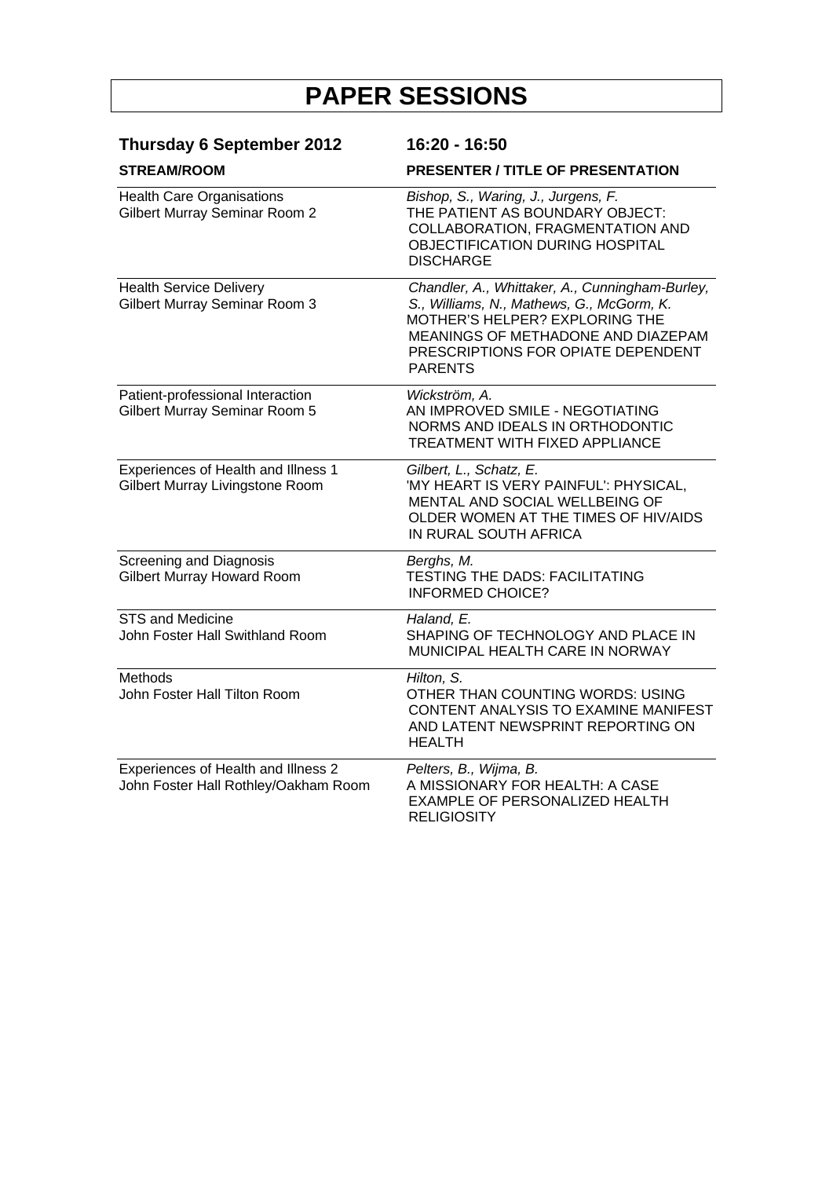| <b>Thursday 6 September 2012</b><br><b>STREAM/ROOM</b>                      | 16:20 - 16:50<br>PRESENTER / TITLE OF PRESENTATION                                                                                                                                                                           |
|-----------------------------------------------------------------------------|------------------------------------------------------------------------------------------------------------------------------------------------------------------------------------------------------------------------------|
|                                                                             |                                                                                                                                                                                                                              |
| <b>Health Service Delivery</b><br>Gilbert Murray Seminar Room 3             | Chandler, A., Whittaker, A., Cunningham-Burley,<br>S., Williams, N., Mathews, G., McGorm, K.<br>MOTHER'S HELPER? EXPLORING THE<br>MEANINGS OF METHADONE AND DIAZEPAM<br>PRESCRIPTIONS FOR OPIATE DEPENDENT<br><b>PARENTS</b> |
| Patient-professional Interaction<br>Gilbert Murray Seminar Room 5           | Wickström, A.<br>AN IMPROVED SMILE - NEGOTIATING<br>NORMS AND IDEALS IN ORTHODONTIC<br><b>TREATMENT WITH FIXED APPLIANCE</b>                                                                                                 |
| Experiences of Health and Illness 1<br>Gilbert Murray Livingstone Room      | Gilbert, L., Schatz, E.<br>'MY HEART IS VERY PAINFUL': PHYSICAL,<br>MENTAL AND SOCIAL WELLBEING OF<br>OLDER WOMEN AT THE TIMES OF HIV/AIDS<br>IN RURAL SOUTH AFRICA                                                          |
| Screening and Diagnosis<br><b>Gilbert Murray Howard Room</b>                | Berghs, M.<br><b>TESTING THE DADS: FACILITATING</b><br><b>INFORMED CHOICE?</b>                                                                                                                                               |
| <b>STS and Medicine</b><br>John Foster Hall Swithland Room                  | Haland, E.<br>SHAPING OF TECHNOLOGY AND PLACE IN<br>MUNICIPAL HEALTH CARE IN NORWAY                                                                                                                                          |
| <b>Methods</b><br>John Foster Hall Tilton Room                              | Hilton, S.<br>OTHER THAN COUNTING WORDS: USING<br>CONTENT ANALYSIS TO EXAMINE MANIFEST<br>AND LATENT NEWSPRINT REPORTING ON<br><b>HEALTH</b>                                                                                 |
| Experiences of Health and Illness 2<br>John Foster Hall Rothley/Oakham Room | Pelters, B., Wijma, B.<br>A MISSIONARY FOR HEALTH: A CASE<br><b>EXAMPLE OF PERSONALIZED HEALTH</b><br><b>RELIGIOSITY</b>                                                                                                     |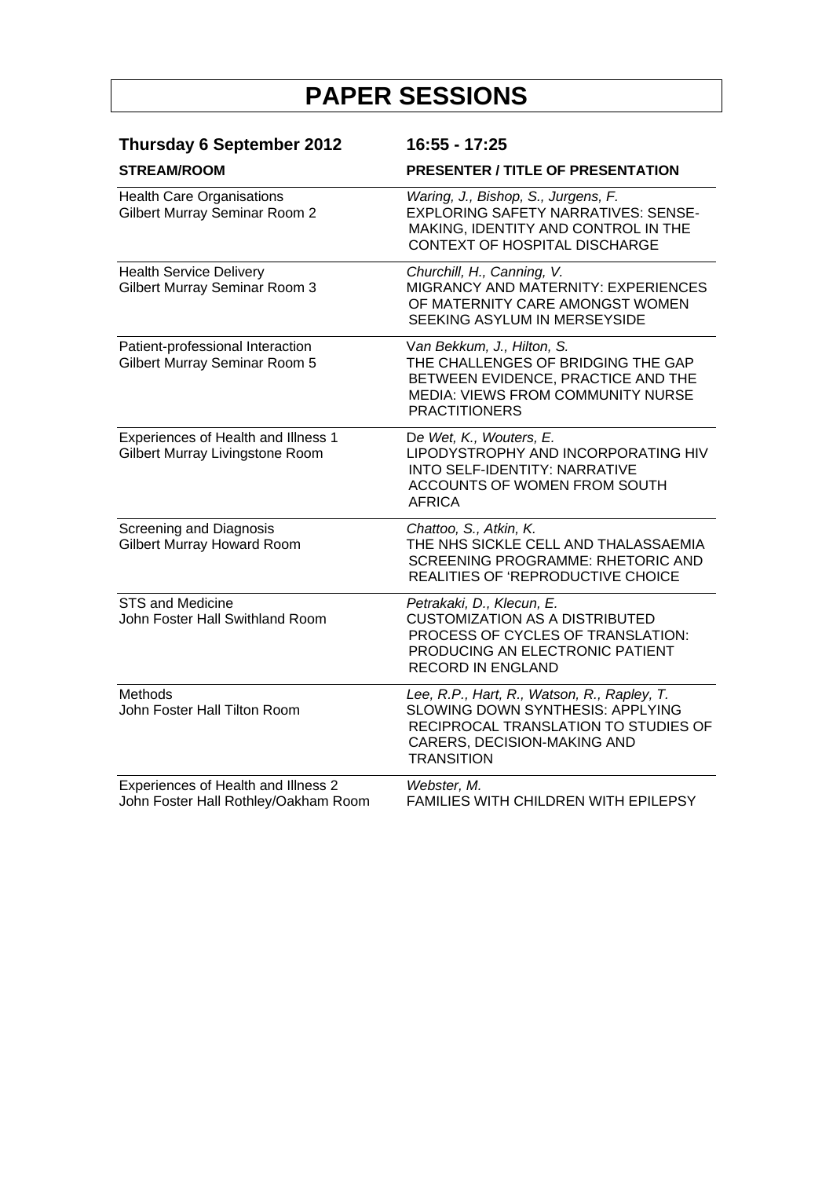| <b>Thursday 6 September 2012</b>                                            | 16:55 - 17:25                                                                                                                                                               |
|-----------------------------------------------------------------------------|-----------------------------------------------------------------------------------------------------------------------------------------------------------------------------|
| <b>STREAM/ROOM</b>                                                          | <b>PRESENTER / TITLE OF PRESENTATION</b>                                                                                                                                    |
| <b>Health Care Organisations</b><br><b>Gilbert Murray Seminar Room 2</b>    | Waring, J., Bishop, S., Jurgens, F.<br>EXPLORING SAFETY NARRATIVES: SENSE-<br>MAKING, IDENTITY AND CONTROL IN THE<br>CONTEXT OF HOSPITAL DISCHARGE                          |
| <b>Health Service Delivery</b><br><b>Gilbert Murray Seminar Room 3</b>      | Churchill, H., Canning, V.<br>MIGRANCY AND MATERNITY: EXPERIENCES<br>OF MATERNITY CARE AMONGST WOMEN<br>SEEKING ASYLUM IN MERSEYSIDE                                        |
| Patient-professional Interaction<br>Gilbert Murray Seminar Room 5           | Van Bekkum, J., Hilton, S.<br>THE CHALLENGES OF BRIDGING THE GAP<br>BETWEEN EVIDENCE, PRACTICE AND THE<br>MEDIA: VIEWS FROM COMMUNITY NURSE<br><b>PRACTITIONERS</b>         |
| Experiences of Health and Illness 1<br>Gilbert Murray Livingstone Room      | De Wet, K., Wouters, E.<br>LIPODYSTROPHY AND INCORPORATING HIV<br>INTO SELF-IDENTITY: NARRATIVE<br>ACCOUNTS OF WOMEN FROM SOUTH<br><b>AFRICA</b>                            |
| Screening and Diagnosis<br><b>Gilbert Murray Howard Room</b>                | Chattoo, S., Atkin, K.<br>THE NHS SICKLE CELL AND THALASSAEMIA<br>SCREENING PROGRAMME: RHETORIC AND<br>REALITIES OF 'REPRODUCTIVE CHOICE                                    |
| STS and Medicine<br>John Foster Hall Swithland Room                         | Petrakaki, D., Klecun, E.<br><b>CUSTOMIZATION AS A DISTRIBUTED</b><br>PROCESS OF CYCLES OF TRANSLATION:<br>PRODUCING AN ELECTRONIC PATIENT<br><b>RECORD IN ENGLAND</b>      |
| <b>Methods</b><br>John Foster Hall Tilton Room                              | Lee, R.P., Hart, R., Watson, R., Rapley, T.<br>SLOWING DOWN SYNTHESIS: APPLYING<br>RECIPROCAL TRANSLATION TO STUDIES OF<br>CARERS, DECISION-MAKING AND<br><b>TRANSITION</b> |
| Experiences of Health and Illness 2<br>John Foster Hall Rothley/Oakham Room | Webster, M.<br><b>FAMILIES WITH CHILDREN WITH EPILEPSY</b>                                                                                                                  |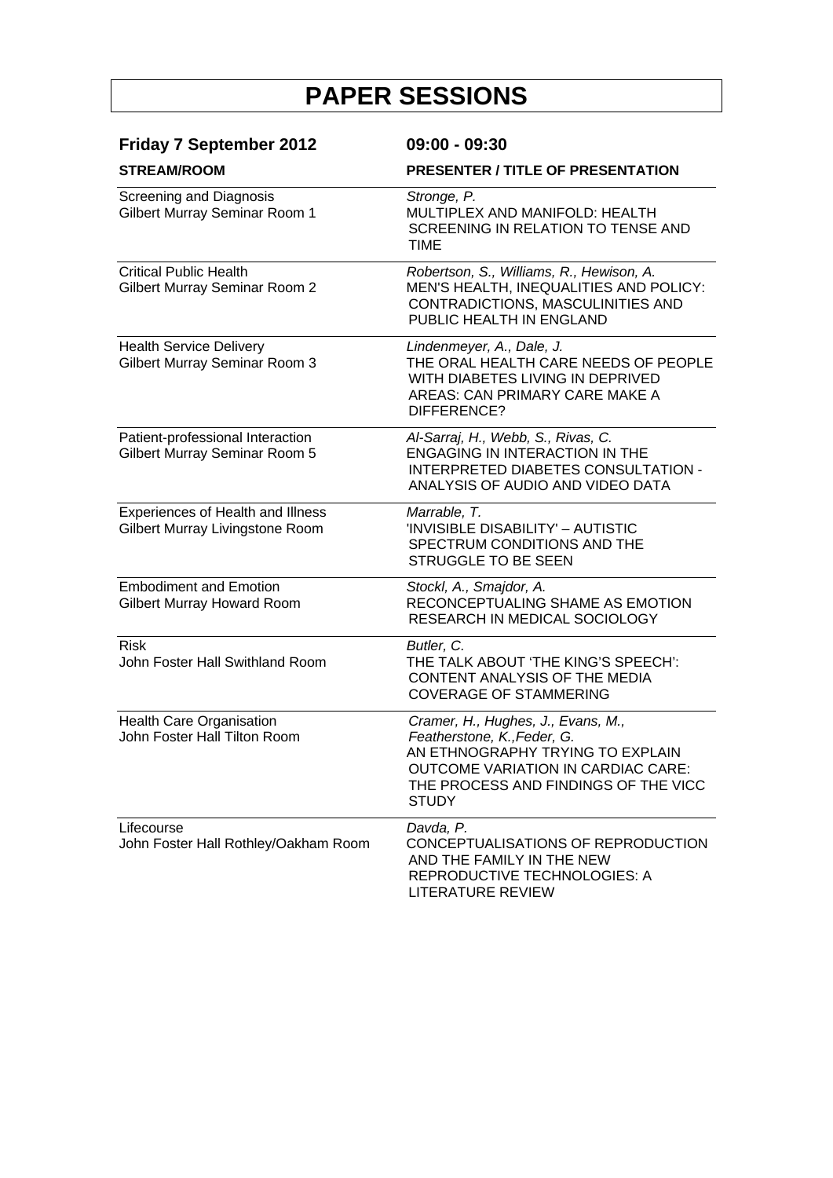| <b>Friday 7 September 2012</b><br><b>STREAM/ROOM</b>                 | $09:00 - 09:30$<br><b>PRESENTER / TITLE OF PRESENTATION</b>                                                                                                                                                |
|----------------------------------------------------------------------|------------------------------------------------------------------------------------------------------------------------------------------------------------------------------------------------------------|
| <b>Screening and Diagnosis</b><br>Gilbert Murray Seminar Room 1      | Stronge, P.<br>MULTIPLEX AND MANIFOLD: HEALTH<br>SCREENING IN RELATION TO TENSE AND<br><b>TIME</b>                                                                                                         |
| <b>Critical Public Health</b><br>Gilbert Murray Seminar Room 2       | Robertson, S., Williams, R., Hewison, A.<br>MEN'S HEALTH, INEQUALITIES AND POLICY:<br>CONTRADICTIONS, MASCULINITIES AND<br>PUBLIC HEALTH IN ENGLAND                                                        |
| <b>Health Service Delivery</b><br>Gilbert Murray Seminar Room 3      | Lindenmeyer, A., Dale, J.<br>THE ORAL HEALTH CARE NEEDS OF PEOPLE<br>WITH DIABETES LIVING IN DEPRIVED<br>AREAS: CAN PRIMARY CARE MAKE A<br>DIFFERENCE?                                                     |
| Patient-professional Interaction<br>Gilbert Murray Seminar Room 5    | Al-Sarraj, H., Webb, S., Rivas, C.<br><b>ENGAGING IN INTERACTION IN THE</b><br><b>INTERPRETED DIABETES CONSULTATION -</b><br>ANALYSIS OF AUDIO AND VIDEO DATA                                              |
| Experiences of Health and Illness<br>Gilbert Murray Livingstone Room | Marrable, T.<br>'INVISIBLE DISABILITY' - AUTISTIC<br>SPECTRUM CONDITIONS AND THE<br>STRUGGLE TO BE SEEN                                                                                                    |
| <b>Embodiment and Emotion</b><br>Gilbert Murray Howard Room          | Stockl, A., Smajdor, A.<br>RECONCEPTUALING SHAME AS EMOTION<br>RESEARCH IN MEDICAL SOCIOLOGY                                                                                                               |
| <b>Risk</b><br>John Foster Hall Swithland Room                       | Butler, C.<br>THE TALK ABOUT 'THE KING'S SPEECH':<br>CONTENT ANALYSIS OF THE MEDIA<br><b>COVERAGE OF STAMMERING</b>                                                                                        |
| Health Care Organisation<br>John Foster Hall Tilton Room             | Cramer, H., Hughes, J., Evans, M.,<br>Featherstone, K., Feder, G.<br>AN ETHNOGRAPHY TRYING TO EXPLAIN<br><b>OUTCOME VARIATION IN CARDIAC CARE:</b><br>THE PROCESS AND FINDINGS OF THE VICC<br><b>STUDY</b> |
| Lifecourse<br>John Foster Hall Rothley/Oakham Room                   | Davda, P.<br>CONCEPTUALISATIONS OF REPRODUCTION<br>AND THE FAMILY IN THE NEW<br>REPRODUCTIVE TECHNOLOGIES: A<br>LITERATURE REVIEW                                                                          |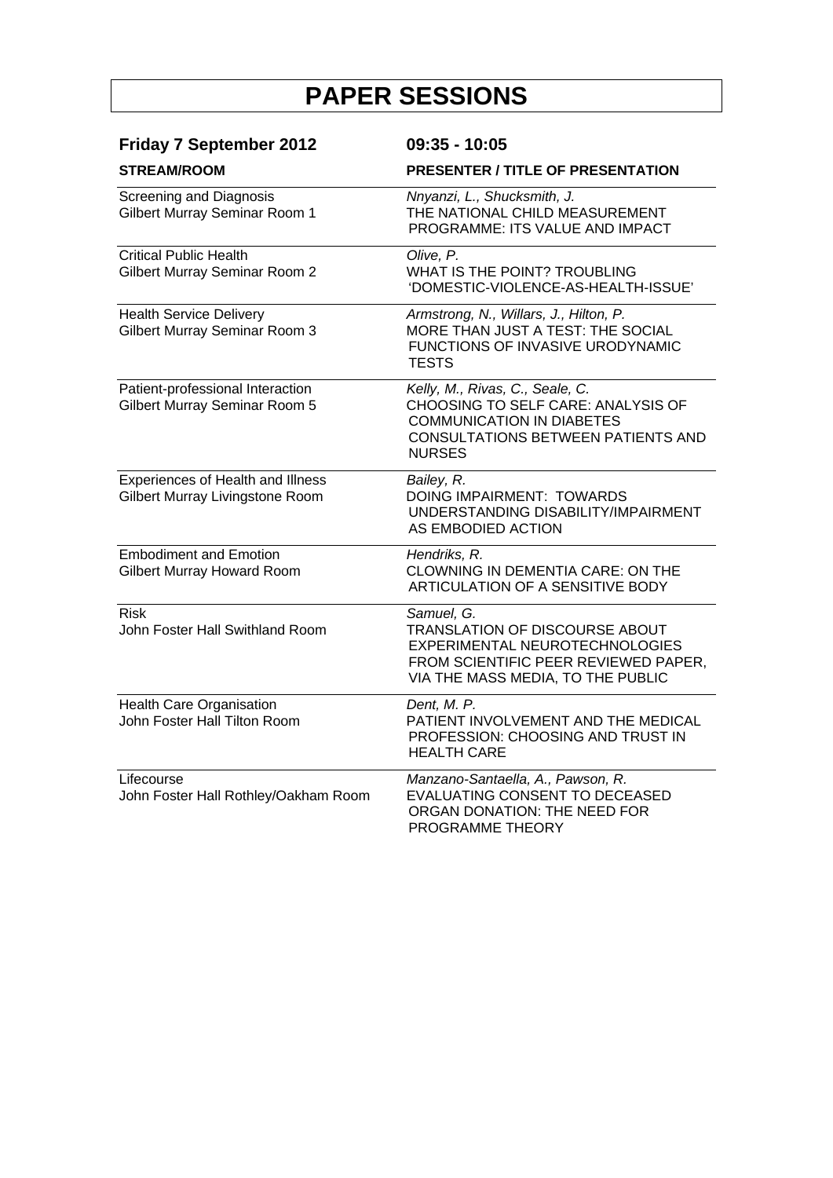| <b>Friday 7 September 2012</b>                                        | $09:35 - 10:05$                                                                                                                                                         |
|-----------------------------------------------------------------------|-------------------------------------------------------------------------------------------------------------------------------------------------------------------------|
| <b>STREAM/ROOM</b>                                                    | <b>PRESENTER / TITLE OF PRESENTATION</b>                                                                                                                                |
| <b>Screening and Diagnosis</b><br>Gilbert Murray Seminar Room 1       | Nnyanzi, L., Shucksmith, J.<br>THE NATIONAL CHILD MEASUREMENT<br>PROGRAMME: ITS VALUE AND IMPACT                                                                        |
| <b>Critical Public Health</b><br><b>Gilbert Murray Seminar Room 2</b> | Olive, P.<br>WHAT IS THE POINT? TROUBLING<br>'DOMESTIC-VIOLENCE-AS-HEALTH-ISSUE'                                                                                        |
| <b>Health Service Delivery</b><br>Gilbert Murray Seminar Room 3       | Armstrong, N., Willars, J., Hilton, P.<br>MORE THAN JUST A TEST: THE SOCIAL<br>FUNCTIONS OF INVASIVE URODYNAMIC<br><b>TESTS</b>                                         |
| Patient-professional Interaction<br>Gilbert Murray Seminar Room 5     | Kelly, M., Rivas, C., Seale, C.<br>CHOOSING TO SELF CARE: ANALYSIS OF<br><b>COMMUNICATION IN DIABETES</b><br><b>CONSULTATIONS BETWEEN PATIENTS AND</b><br><b>NURSES</b> |
| Experiences of Health and Illness<br>Gilbert Murray Livingstone Room  | Bailey, R.<br>DOING IMPAIRMENT: TOWARDS<br>UNDERSTANDING DISABILITY/IMPAIRMENT<br>AS EMBODIED ACTION                                                                    |
| <b>Embodiment and Emotion</b><br><b>Gilbert Murray Howard Room</b>    | Hendriks, R.<br>CLOWNING IN DEMENTIA CARE: ON THE<br>ARTICULATION OF A SENSITIVE BODY                                                                                   |
| <b>Risk</b><br>John Foster Hall Swithland Room                        | Samuel, G.<br>TRANSLATION OF DISCOURSE ABOUT<br>EXPERIMENTAL NEUROTECHNOLOGIES<br>FROM SCIENTIFIC PEER REVIEWED PAPER,<br>VIA THE MASS MEDIA, TO THE PUBLIC             |
| Health Care Organisation<br>John Foster Hall Tilton Room              | Dent, M. P.<br>PATIENT INVOLVEMENT AND THE MEDICAL<br>PROFESSION: CHOOSING AND TRUST IN<br><b>HEALTH CARE</b>                                                           |
| Lifecourse<br>John Foster Hall Rothley/Oakham Room                    | Manzano-Santaella, A., Pawson, R.<br><b>EVALUATING CONSENT TO DECEASED</b><br>ORGAN DONATION: THE NEED FOR<br>PROGRAMME THEORY                                          |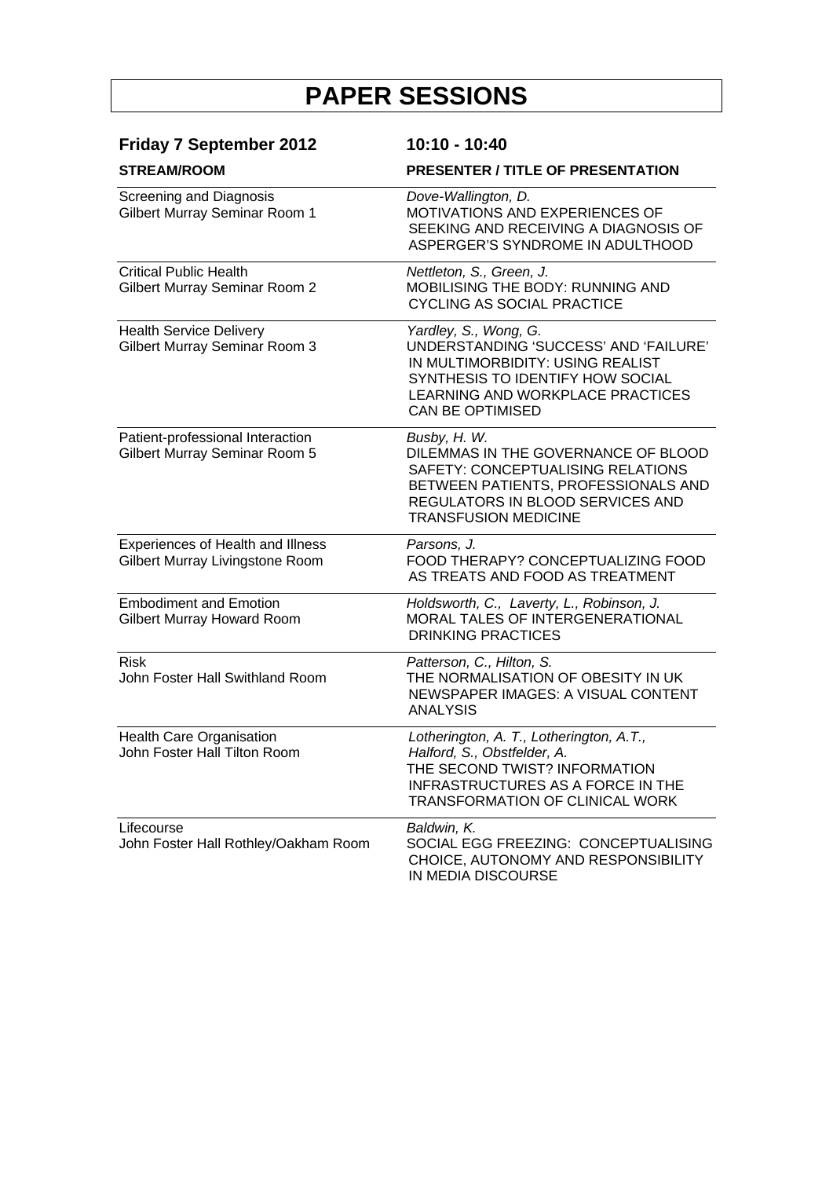| <b>Friday 7 September 2012</b><br><b>STREAM/ROOM</b>                 | 10:10 - 10:40<br><b>PRESENTER / TITLE OF PRESENTATION</b>                                                                                                                                             |
|----------------------------------------------------------------------|-------------------------------------------------------------------------------------------------------------------------------------------------------------------------------------------------------|
| <b>Screening and Diagnosis</b><br>Gilbert Murray Seminar Room 1      | Dove-Wallington, D.<br>MOTIVATIONS AND EXPERIENCES OF<br>SEEKING AND RECEIVING A DIAGNOSIS OF<br>ASPERGER'S SYNDROME IN ADULTHOOD                                                                     |
| <b>Critical Public Health</b><br>Gilbert Murray Seminar Room 2       | Nettleton, S., Green, J.<br>MOBILISING THE BODY: RUNNING AND<br><b>CYCLING AS SOCIAL PRACTICE</b>                                                                                                     |
| <b>Health Service Delivery</b><br>Gilbert Murray Seminar Room 3      | Yardley, S., Wong, G.<br>UNDERSTANDING 'SUCCESS' AND 'FAILURE'<br>IN MULTIMORBIDITY: USING REALIST<br>SYNTHESIS TO IDENTIFY HOW SOCIAL<br>LEARNING AND WORKPLACE PRACTICES<br><b>CAN BE OPTIMISED</b> |
| Patient-professional Interaction<br>Gilbert Murray Seminar Room 5    | Busby, H. W.<br>DILEMMAS IN THE GOVERNANCE OF BLOOD<br>SAFETY: CONCEPTUALISING RELATIONS<br>BETWEEN PATIENTS, PROFESSIONALS AND<br>REGULATORS IN BLOOD SERVICES AND<br><b>TRANSFUSION MEDICINE</b>    |
| Experiences of Health and Illness<br>Gilbert Murray Livingstone Room | Parsons, J.<br>FOOD THERAPY? CONCEPTUALIZING FOOD<br>AS TREATS AND FOOD AS TREATMENT                                                                                                                  |
| <b>Embodiment and Emotion</b><br>Gilbert Murray Howard Room          | Holdsworth, C., Laverty, L., Robinson, J.<br>MORAL TALES OF INTERGENERATIONAL<br><b>DRINKING PRACTICES</b>                                                                                            |
| <b>Risk</b><br>John Foster Hall Swithland Room                       | Patterson, C., Hilton, S.<br>THE NORMALISATION OF OBESITY IN UK<br>NEWSPAPER IMAGES: A VISUAL CONTENT<br><b>ANALYSIS</b>                                                                              |
| Health Care Organisation<br>John Foster Hall Tilton Room             | Lotherington, A. T., Lotherington, A.T.,<br>Halford, S., Obstfelder, A.<br>THE SECOND TWIST? INFORMATION<br>INFRASTRUCTURES AS A FORCE IN THE<br>TRANSFORMATION OF CLINICAL WORK                      |
| Lifecourse<br>John Foster Hall Rothley/Oakham Room                   | Baldwin, K.<br>SOCIAL EGG FREEZING: CONCEPTUALISING<br>CHOICE, AUTONOMY AND RESPONSIBILITY<br>IN MEDIA DISCOURSE                                                                                      |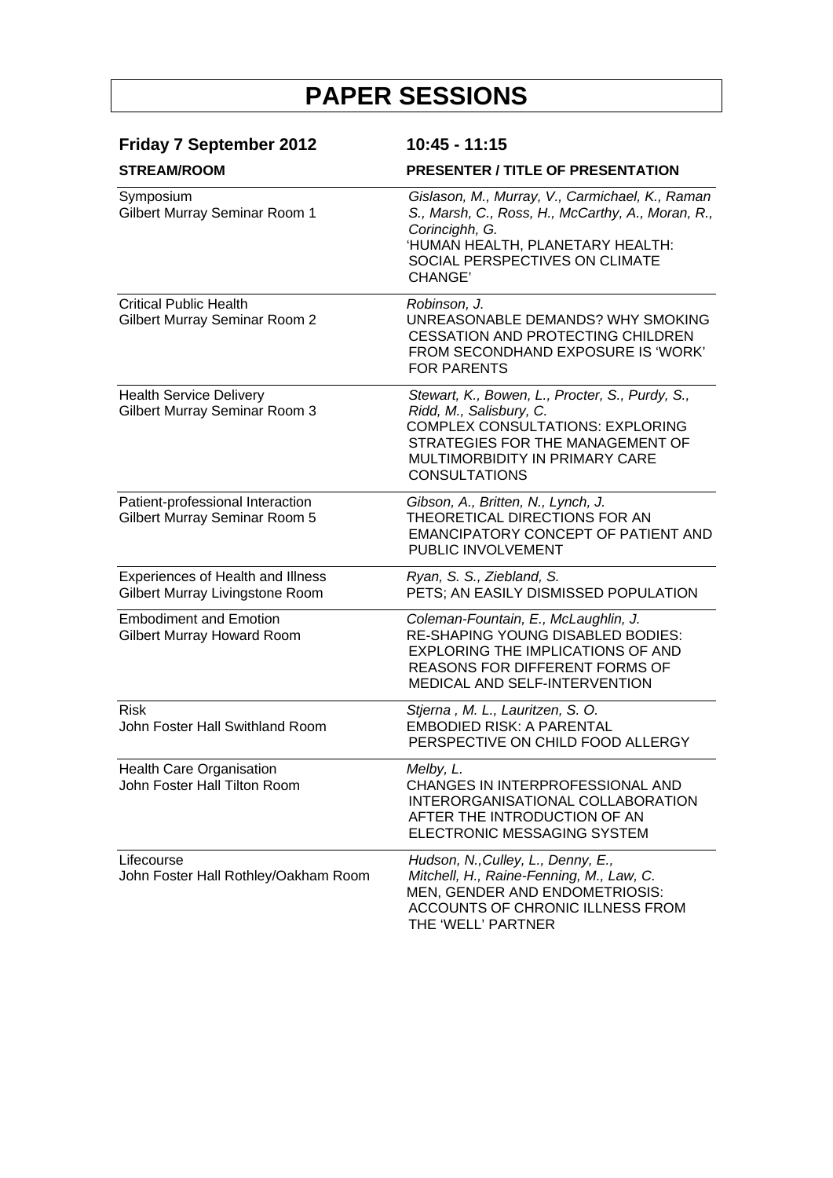| <b>Friday 7 September 2012</b><br><b>STREAM/ROOM</b>                   | $10:45 - 11:15$<br><b>PRESENTER / TITLE OF PRESENTATION</b>                                                                                                                                                         |
|------------------------------------------------------------------------|---------------------------------------------------------------------------------------------------------------------------------------------------------------------------------------------------------------------|
|                                                                        |                                                                                                                                                                                                                     |
| <b>Critical Public Health</b><br><b>Gilbert Murray Seminar Room 2</b>  | Robinson, J.<br>UNREASONABLE DEMANDS? WHY SMOKING<br><b>CESSATION AND PROTECTING CHILDREN</b><br>FROM SECONDHAND EXPOSURE IS 'WORK'<br><b>FOR PARENTS</b>                                                           |
| <b>Health Service Delivery</b><br><b>Gilbert Murray Seminar Room 3</b> | Stewart, K., Bowen, L., Procter, S., Purdy, S.,<br>Ridd, M., Salisbury, C.<br><b>COMPLEX CONSULTATIONS: EXPLORING</b><br>STRATEGIES FOR THE MANAGEMENT OF<br>MULTIMORBIDITY IN PRIMARY CARE<br><b>CONSULTATIONS</b> |
| Patient-professional Interaction<br>Gilbert Murray Seminar Room 5      | Gibson, A., Britten, N., Lynch, J.<br>THEORETICAL DIRECTIONS FOR AN<br>EMANCIPATORY CONCEPT OF PATIENT AND<br>PUBLIC INVOLVEMENT                                                                                    |
| Experiences of Health and Illness<br>Gilbert Murray Livingstone Room   | Ryan, S. S., Ziebland, S.<br>PETS; AN EASILY DISMISSED POPULATION                                                                                                                                                   |
| <b>Embodiment and Emotion</b><br><b>Gilbert Murray Howard Room</b>     | Coleman-Fountain, E., McLaughlin, J.<br><b>RE-SHAPING YOUNG DISABLED BODIES:</b><br><b>EXPLORING THE IMPLICATIONS OF AND</b><br><b>REASONS FOR DIFFERENT FORMS OF</b><br><b>MEDICAL AND SELF-INTERVENTION</b>       |
| <b>Risk</b><br>John Foster Hall Swithland Room                         | Stjerna, M. L., Lauritzen, S. O.<br><b>EMBODIED RISK: A PARENTAL</b><br>PERSPECTIVE ON CHILD FOOD ALLERGY                                                                                                           |
| Health Care Organisation<br>John Foster Hall Tilton Room               | Melby, L.<br>CHANGES IN INTERPROFESSIONAL AND<br>INTERORGANISATIONAL COLLABORATION<br>AFTER THE INTRODUCTION OF AN<br>ELECTRONIC MESSAGING SYSTEM                                                                   |
| Lifecourse<br>John Foster Hall Rothley/Oakham Room                     | Hudson, N., Culley, L., Denny, E.,<br>Mitchell, H., Raine-Fenning, M., Law, C.<br>MEN, GENDER AND ENDOMETRIOSIS:<br>ACCOUNTS OF CHRONIC ILLNESS FROM<br>THE 'WELL' PARTNER                                          |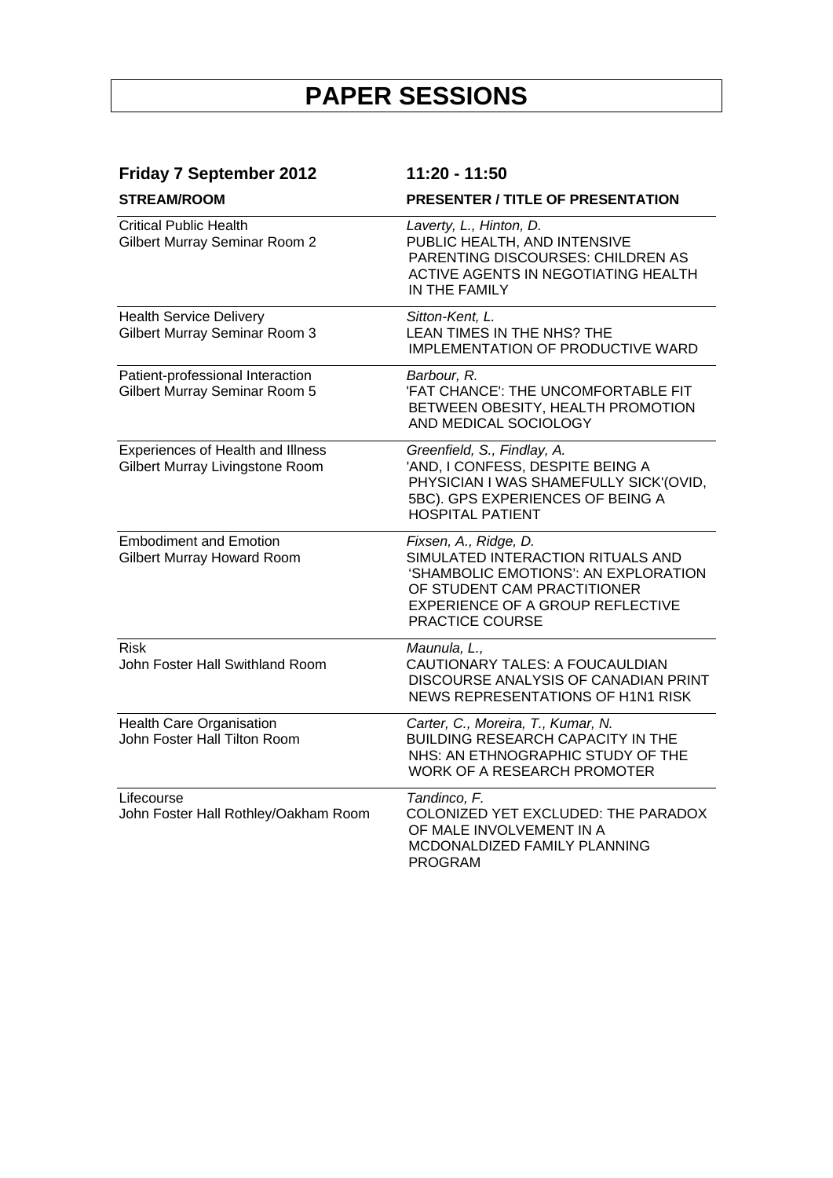| <b>Friday 7 September 2012</b><br><b>STREAM/ROOM</b>                 | 11:20 - 11:50<br><b>PRESENTER / TITLE OF PRESENTATION</b>                                                                                                                                |
|----------------------------------------------------------------------|------------------------------------------------------------------------------------------------------------------------------------------------------------------------------------------|
|                                                                      |                                                                                                                                                                                          |
| <b>Health Service Delivery</b><br>Gilbert Murray Seminar Room 3      | Sitton-Kent, L.<br>LEAN TIMES IN THE NHS? THE<br>IMPLEMENTATION OF PRODUCTIVE WARD                                                                                                       |
| Patient-professional Interaction<br>Gilbert Murray Seminar Room 5    | Barbour, R.<br>'FAT CHANCE': THE UNCOMFORTABLE FIT<br>BETWEEN OBESITY, HEALTH PROMOTION<br>AND MEDICAL SOCIOLOGY                                                                         |
| Experiences of Health and Illness<br>Gilbert Murray Livingstone Room | Greenfield, S., Findlay, A.<br>'AND, I CONFESS, DESPITE BEING A<br>PHYSICIAN I WAS SHAMEFULLY SICK'(OVID,<br>5BC). GPS EXPERIENCES OF BEING A<br><b>HOSPITAL PATIENT</b>                 |
| <b>Embodiment and Emotion</b><br>Gilbert Murray Howard Room          | Fixsen, A., Ridge, D.<br>SIMULATED INTERACTION RITUALS AND<br>'SHAMBOLIC EMOTIONS': AN EXPLORATION<br>OF STUDENT CAM PRACTITIONER<br>EXPERIENCE OF A GROUP REFLECTIVE<br>PRACTICE COURSE |
| <b>Risk</b><br>John Foster Hall Swithland Room                       | Maunula, L.,<br>CAUTIONARY TALES: A FOUCAULDIAN<br>DISCOURSE ANALYSIS OF CANADIAN PRINT<br>NEWS REPRESENTATIONS OF H1N1 RISK                                                             |
| <b>Health Care Organisation</b><br>John Foster Hall Tilton Room      | Carter, C., Moreira, T., Kumar, N.<br><b>BUILDING RESEARCH CAPACITY IN THE</b><br>NHS: AN ETHNOGRAPHIC STUDY OF THE<br><b>WORK OF A RESEARCH PROMOTER</b>                                |
| Lifecourse<br>John Foster Hall Rothley/Oakham Room                   | Tandinco, F.<br>COLONIZED YET EXCLUDED: THE PARADOX<br>OF MALE INVOLVEMENT IN A<br>MCDONALDIZED FAMILY PLANNING<br><b>PROGRAM</b>                                                        |